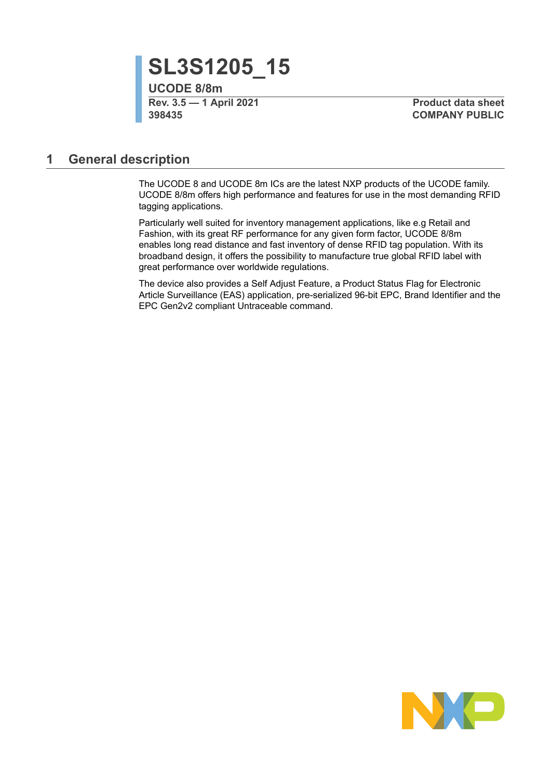# **SL3S1205\_15**

**UCODE 8/8m Rev. 3.5 — 1 April 2021 Product data sheet 398435 COMPANY PUBLIC**

### <span id="page-0-0"></span>**1 General description**

The UCODE 8 and UCODE 8m ICs are the latest NXP products of the UCODE family. UCODE 8/8m offers high performance and features for use in the most demanding RFID tagging applications.

Particularly well suited for inventory management applications, like e.g Retail and Fashion, with its great RF performance for any given form factor, UCODE 8/8m enables long read distance and fast inventory of dense RFID tag population. With its broadband design, it offers the possibility to manufacture true global RFID label with great performance over worldwide regulations.

The device also provides a Self Adjust Feature, a Product Status Flag for Electronic Article Surveillance (EAS) application, pre-serialized 96-bit EPC, Brand Identifier and the EPC Gen2v2 compliant Untraceable command.

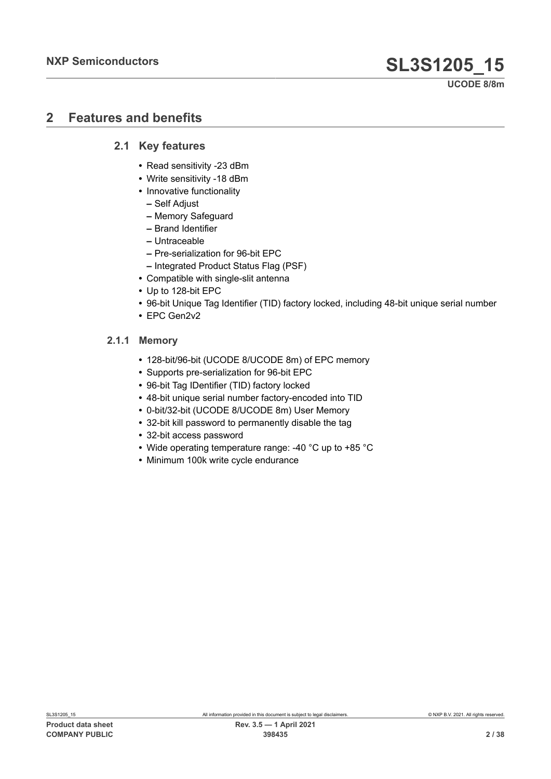## <span id="page-1-0"></span>**2 Features and benefits**

#### **2.1 Key features**

- <span id="page-1-1"></span>**•** Read sensitivity -23 dBm
- **•** Write sensitivity -18 dBm
- **•** Innovative functionality
	- **–** Self Adjust
	- **–** Memory Safeguard
	- **–** Brand Identifier
	- **–** Untraceable
	- **–** Pre-serialization for 96-bit EPC
	- **–** Integrated Product Status Flag (PSF)
- **•** Compatible with single-slit antenna
- **•** Up to 128-bit EPC
- **•** 96-bit Unique Tag Identifier (TID) factory locked, including 48-bit unique serial number
- <span id="page-1-2"></span>**•** EPC Gen2v2

#### **2.1.1 Memory**

- **•** 128-bit/96-bit (UCODE 8/UCODE 8m) of EPC memory
- **•** Supports pre-serialization for 96-bit EPC
- **•** 96-bit Tag IDentifier (TID) factory locked
- **•** 48-bit unique serial number factory-encoded into TID
- **•** 0-bit/32-bit (UCODE 8/UCODE 8m) User Memory
- **•** 32-bit kill password to permanently disable the tag
- **•** 32-bit access password
- **•** Wide operating temperature range: -40 °C up to +85 °C
- **•** Minimum 100k write cycle endurance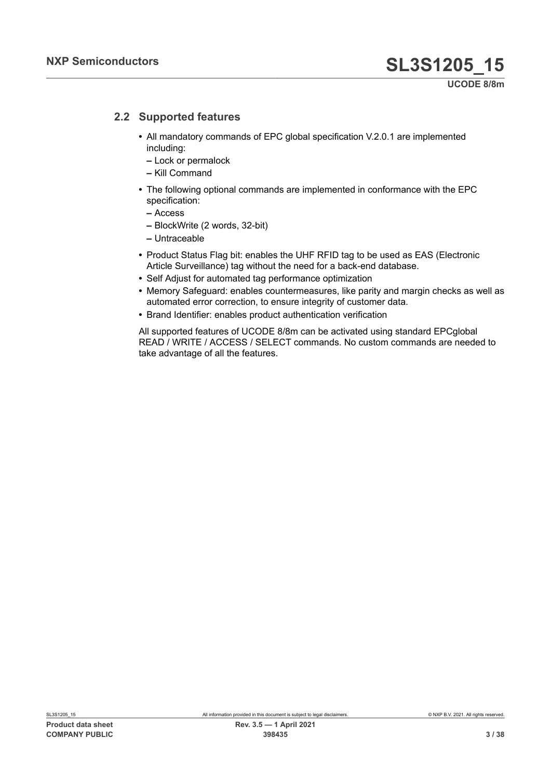#### **2.2 Supported features**

- <span id="page-2-0"></span>**•** All mandatory commands of EPC global specification V.2.0.1 are implemented including:
	- **–** Lock or permalock
	- **–** Kill Command
- **•** The following optional commands are implemented in conformance with the EPC specification:
	- **–** Access
	- **–** BlockWrite (2 words, 32-bit)
	- **–** Untraceable
- **•** Product Status Flag bit: enables the UHF RFID tag to be used as EAS (Electronic Article Surveillance) tag without the need for a back-end database.
- **•** Self Adjust for automated tag performance optimization
- **•** Memory Safeguard: enables countermeasures, like parity and margin checks as well as automated error correction, to ensure integrity of customer data.
- **•** Brand Identifier: enables product authentication verification

All supported features of UCODE 8/8m can be activated using standard EPCglobal READ / WRITE / ACCESS / SELECT commands. No custom commands are needed to take advantage of all the features.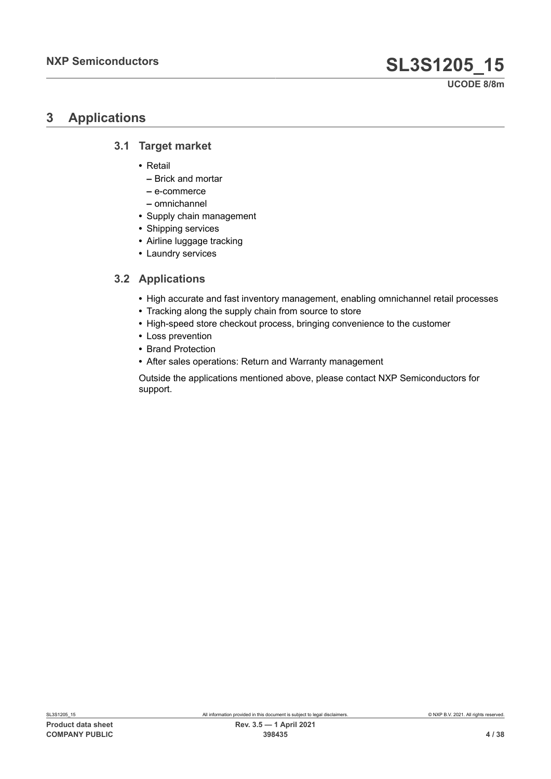## <span id="page-3-0"></span>**3 Applications**

#### **3.1 Target market**

- <span id="page-3-1"></span>**•** Retail
	- **–** Brick and mortar
	- **–** e-commerce
	- **–** omnichannel
- **•** Supply chain management
- **•** Shipping services
- **•** Airline luggage tracking
- <span id="page-3-2"></span>**•** Laundry services

#### **3.2 Applications**

- **•** High accurate and fast inventory management, enabling omnichannel retail processes
- **•** Tracking along the supply chain from source to store
- **•** High-speed store checkout process, bringing convenience to the customer
- **•** Loss prevention
- **•** Brand Protection
- **•** After sales operations: Return and Warranty management

Outside the applications mentioned above, please contact NXP Semiconductors for support.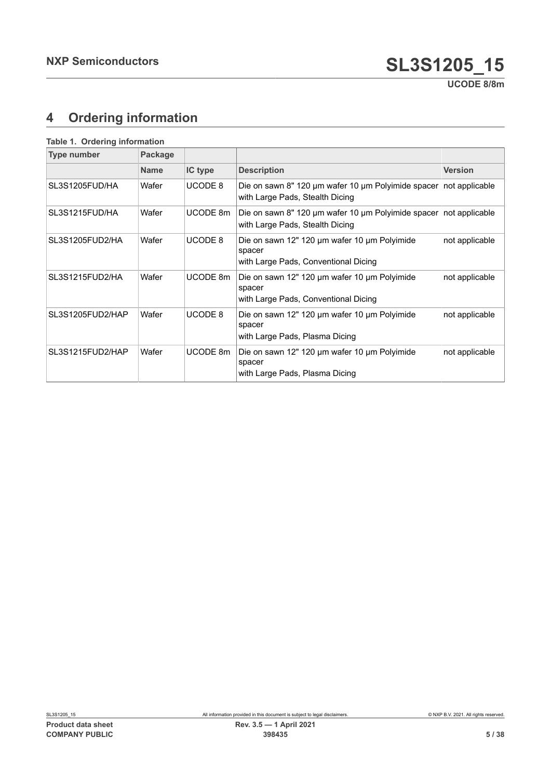## <span id="page-4-1"></span>**4 Ordering information**

<span id="page-4-0"></span>

| <b>Type number</b> | Package     |                |                                                                                                        |                |
|--------------------|-------------|----------------|--------------------------------------------------------------------------------------------------------|----------------|
|                    | <b>Name</b> | IC type        | <b>Description</b>                                                                                     | <b>Version</b> |
| SL3S1205FUD/HA     | Wafer       | <b>UCODE 8</b> | Die on sawn 8" 120 µm wafer 10 µm Polyimide spacer<br>with Large Pads, Stealth Dicing                  | not applicable |
| SL3S1215FUD/HA     | Wafer       | UCODE 8m       | Die on sawn 8" 120 µm wafer 10 µm Polyimide spacer   not applicable<br>with Large Pads, Stealth Dicing |                |
| SL3S1205FUD2/HA    | Wafer       | <b>UCODE 8</b> | Die on sawn 12" 120 µm wafer 10 µm Polyimide<br>spacer<br>with Large Pads, Conventional Dicing         | not applicable |
| SL3S1215FUD2/HA    | Wafer       | UCODE 8m       | Die on sawn 12" 120 µm wafer 10 µm Polyimide<br>spacer<br>with Large Pads, Conventional Dicing         | not applicable |
| SL3S1205FUD2/HAP   | Wafer       | <b>UCODE 8</b> | Die on sawn 12" 120 µm wafer 10 µm Polyimide<br>spacer<br>with Large Pads, Plasma Dicing               | not applicable |
| SL3S1215FUD2/HAP   | Wafer       | UCODE 8m       | Die on sawn 12" 120 µm wafer 10 µm Polyimide<br>spacer<br>with Large Pads, Plasma Dicing               | not applicable |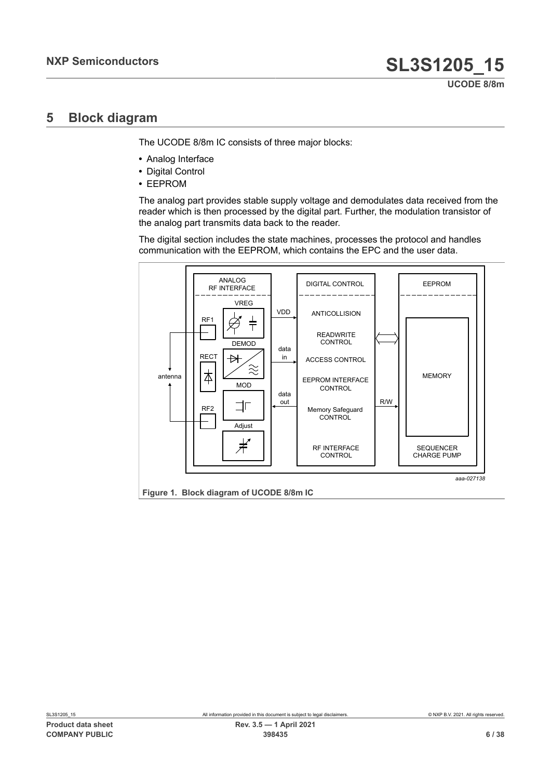### <span id="page-5-1"></span>**5 Block diagram**

The UCODE 8/8m IC consists of three major blocks:

- **•** Analog Interface
- **•** Digital Control
- **•** EEPROM

The analog part provides stable supply voltage and demodulates data received from the reader which is then processed by the digital part. Further, the modulation transistor of the analog part transmits data back to the reader.

The digital section includes the state machines, processes the protocol and handles communication with the EEPROM, which contains the EPC and the user data.

<span id="page-5-0"></span>

Figure 1. Block diagram of UCODE 8/8m IC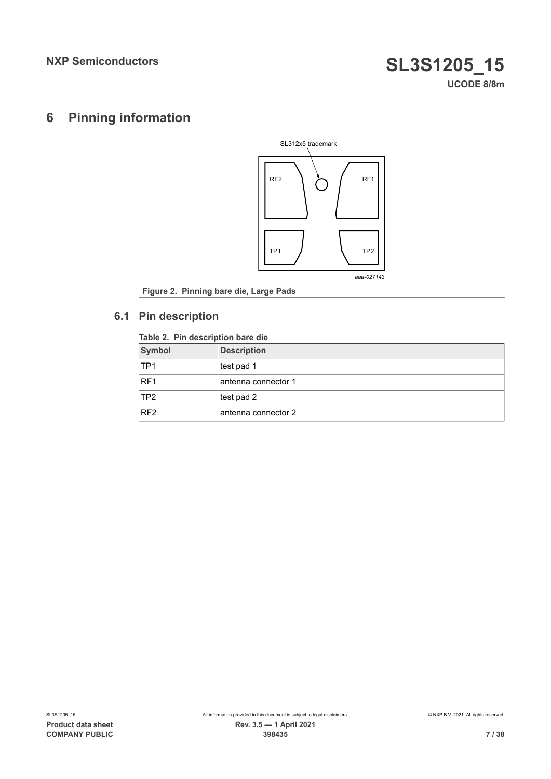## <span id="page-6-2"></span>**6 Pinning information**

<span id="page-6-1"></span>

## **6.1 Pin description**

#### <span id="page-6-3"></span><span id="page-6-0"></span>**Table 2. Pin description bare die**

| <b>Symbol</b>   | <b>Description</b>   |
|-----------------|----------------------|
| TP <sub>1</sub> | test pad 1           |
| RF <sub>1</sub> | ⊧antenna connector 1 |
| TP <sub>2</sub> | test pad 2           |
| RF <sub>2</sub> | antenna connector 2  |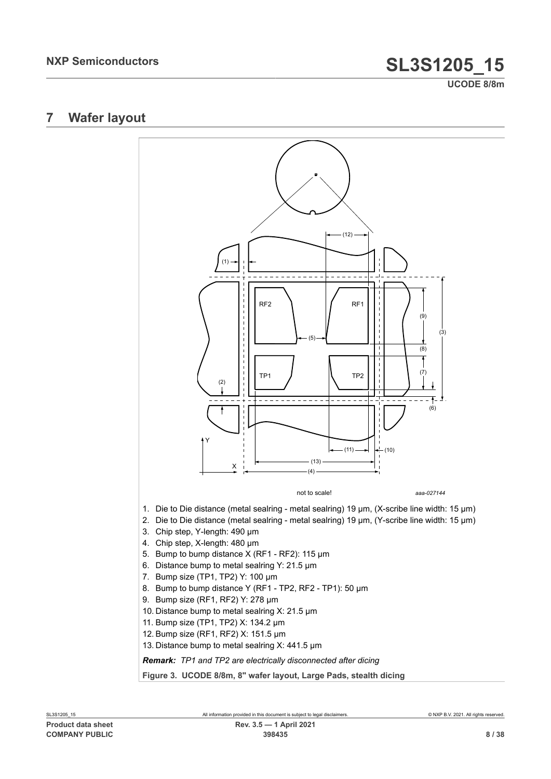**UCODE 8/8m**

## <span id="page-7-0"></span>**7 Wafer layout**

<span id="page-7-1"></span>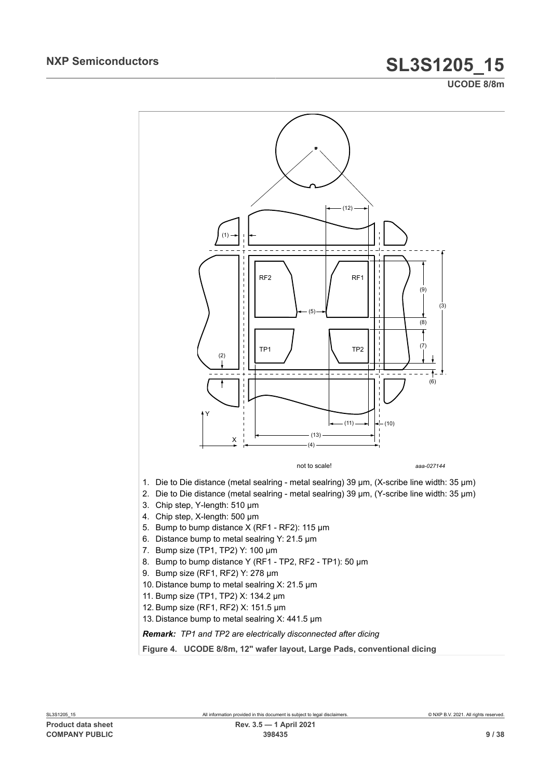**UCODE 8/8m**

<span id="page-8-0"></span>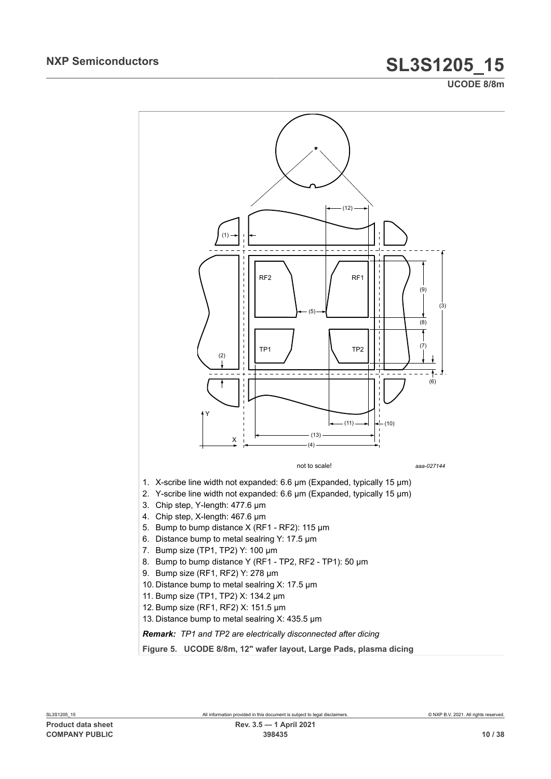**UCODE 8/8m**

<span id="page-9-0"></span>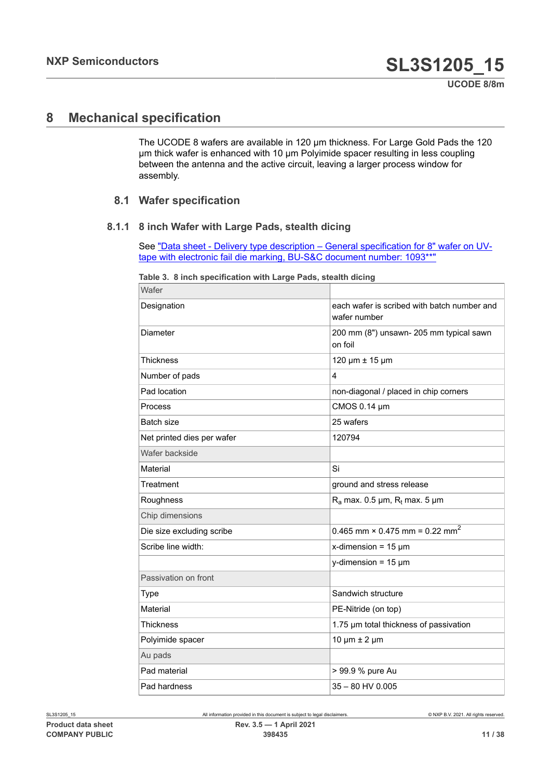## <span id="page-10-1"></span>**8 Mechanical specification**

The UCODE 8 wafers are available in 120 μm thickness. For Large Gold Pads the 120 μm thick wafer is enhanced with 10 μm Polyimide spacer resulting in less coupling between the antenna and the active circuit, leaving a larger process window for assembly.

#### <span id="page-10-2"></span>**8.1 Wafer specification**

#### **8.1.1 8 inch Wafer with Large Pads, stealth dicing**

<span id="page-10-3"></span>See ["Data sheet - Delivery type description – General specification for 8" wafer on UV](#page-31-0)[tape with electronic fail die marking, BU-S&C document number: 1093\\*\\*"](#page-31-0)

<span id="page-10-0"></span>**Table 3. 8 inch specification with Large Pads, stealth dicing**

| Wafer                      |                                                             |
|----------------------------|-------------------------------------------------------------|
| Designation                | each wafer is scribed with batch number and<br>wafer number |
| <b>Diameter</b>            | 200 mm (8") unsawn- 205 mm typical sawn<br>on foil          |
| <b>Thickness</b>           | 120 µm ± 15 µm                                              |
| Number of pads             | $\overline{4}$                                              |
| Pad location               | non-diagonal / placed in chip corners                       |
| <b>Process</b>             | CMOS 0.14 µm                                                |
| <b>Batch size</b>          | 25 wafers                                                   |
| Net printed dies per wafer | 120794                                                      |
| Wafer backside             |                                                             |
| Material                   | Si                                                          |
| Treatment                  | ground and stress release                                   |
| Roughness                  | $R_a$ max. 0.5 µm, $R_t$ max. 5 µm                          |
| Chip dimensions            |                                                             |
| Die size excluding scribe  | 0.465 mm $\times$ 0.475 mm = 0.22 mm <sup>2</sup>           |
| Scribe line width:         | x-dimension = $15 \mu m$                                    |
|                            | y-dimension = $15 \mu m$                                    |
| Passivation on front       |                                                             |
| <b>Type</b>                | Sandwich structure                                          |
| Material                   | PE-Nitride (on top)                                         |
| <b>Thickness</b>           | 1.75 µm total thickness of passivation                      |
| Polyimide spacer           | 10 µm ± 2 µm                                                |
| Au pads                    |                                                             |
| Pad material               | > 99.9 % pure Au                                            |
| Pad hardness               | $35 - 80$ HV 0.005                                          |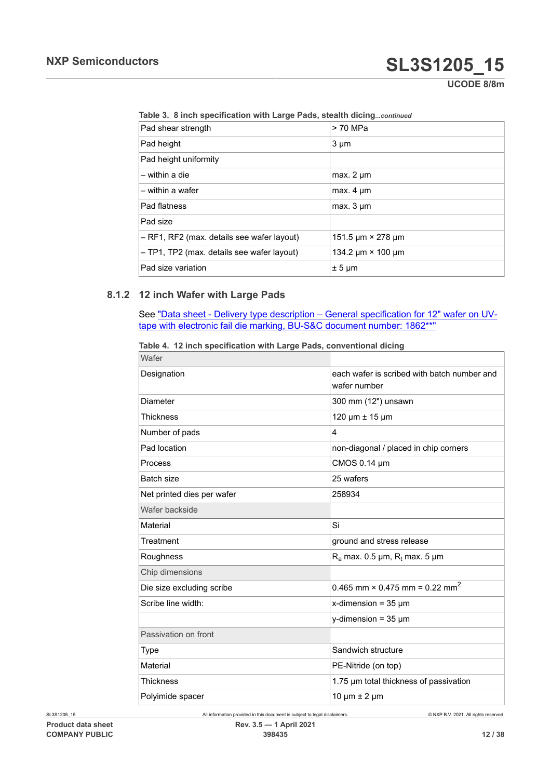**Table 3. 8 inch specification with Large Pads, stealth dicing***...continued*

| Pad shear strength                         | > 70 MPa                    |
|--------------------------------------------|-----------------------------|
| Pad height                                 | $3 \mu m$                   |
| Pad height uniformity                      |                             |
| $-$ within a die                           | $max. 2 \mu m$              |
| $-$ within a wafer                         | $max. 4 \mu m$              |
| Pad flatness                               | $max. 3 \mu m$              |
| Pad size                                   |                             |
| - RF1, RF2 (max. details see wafer layout) | 151.5 $\mu$ m × 278 $\mu$ m |
| - TP1, TP2 (max. details see wafer layout) | 134.2 $\mu$ m × 100 $\mu$ m |
| Pad size variation                         | $± 5 \mu m$                 |

#### **8.1.2 12 inch Wafer with Large Pads**

<span id="page-11-0"></span>See ["Data sheet - Delivery type description – General specification for 12" wafer on UV](#page-31-1)[tape with electronic fail die marking, BU-S&C document number: 1862\\*\\*"](#page-31-1)

<span id="page-11-1"></span>

| Table 4. 12 inch specification with Large Pads, conventional dicing |  |  |
|---------------------------------------------------------------------|--|--|
|                                                                     |  |  |

| Wafer                      |                                                             |
|----------------------------|-------------------------------------------------------------|
| Designation                | each wafer is scribed with batch number and<br>wafer number |
| Diameter                   | 300 mm (12") unsawn                                         |
| <b>Thickness</b>           | 120 µm ± 15 µm                                              |
| Number of pads             | 4                                                           |
| Pad location               | non-diagonal / placed in chip corners                       |
| Process                    | CMOS 0.14 µm                                                |
| Batch size                 | 25 wafers                                                   |
| Net printed dies per wafer | 258934                                                      |
| Wafer backside             |                                                             |
| Material                   | Si                                                          |
| Treatment                  | ground and stress release                                   |
| Roughness                  | $R_a$ max. 0.5 µm, $R_t$ max. 5 µm                          |
| Chip dimensions            |                                                             |
| Die size excluding scribe  | 0.465 mm $\times$ 0.475 mm = 0.22 mm <sup>2</sup>           |
| Scribe line width:         | x-dimension = $35 \mu m$                                    |
|                            | y-dimension = $35 \mu m$                                    |
| Passivation on front       |                                                             |
| Type                       | Sandwich structure                                          |
| Material                   | PE-Nitride (on top)                                         |
| <b>Thickness</b>           | 1.75 µm total thickness of passivation                      |
| Polyimide spacer           | 10 $\mu$ m $\pm$ 2 $\mu$ m                                  |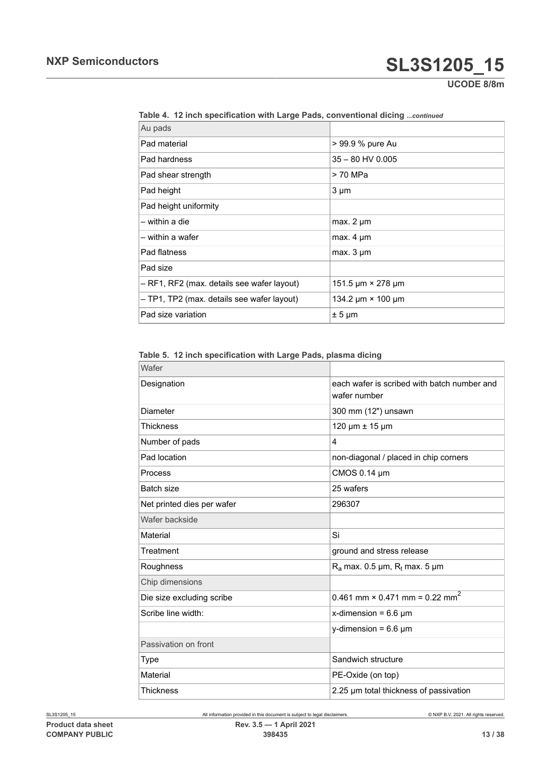| Au pads                                    |                             |
|--------------------------------------------|-----------------------------|
| Pad material                               | > 99.9 % pure Au            |
| Pad hardness                               | $35 - 80$ HV 0.005          |
| Pad shear strength                         | > 70 MPa                    |
| Pad height                                 | $3 \mu m$                   |
| Pad height uniformity                      |                             |
| – within a die                             | $max. 2 \mu m$              |
| – within a wafer                           | $max. 4 \mu m$              |
| Pad flatness                               | max. 3 µm                   |
| Pad size                                   |                             |
| - RF1, RF2 (max. details see wafer layout) | 151.5 µm × 278 µm           |
| - TP1, TP2 (max. details see wafer layout) | 134.2 $\mu$ m × 100 $\mu$ m |
| Pad size variation                         | $± 5 \mu m$                 |

**Table 4. 12 inch specification with Large Pads, conventional dicing** *...continued*

<span id="page-12-0"></span>**Table 5. 12 inch specification with Large Pads, plasma dicing**

| Wafer                      |                                                             |
|----------------------------|-------------------------------------------------------------|
| Designation                | each wafer is scribed with batch number and<br>wafer number |
| Diameter                   | 300 mm (12") unsawn                                         |
| <b>Thickness</b>           | 120 µm ± 15 µm                                              |
| Number of pads             | 4                                                           |
| Pad location               | non-diagonal / placed in chip corners                       |
| Process                    | CMOS 0.14 µm                                                |
| Batch size                 | 25 wafers                                                   |
| Net printed dies per wafer | 296307                                                      |
| Wafer backside             |                                                             |
| Material                   | Si                                                          |
| Treatment                  | ground and stress release                                   |
| Roughness                  | $R_a$ max. 0.5 µm, $R_t$ max. 5 µm                          |
| Chip dimensions            |                                                             |
| Die size excluding scribe  | 0.461 mm $\times$ 0.471 mm = 0.22 mm <sup>2</sup>           |
| Scribe line width:         | x-dimension = $6.6 \mu m$                                   |
|                            | y-dimension = $6.6 \mu m$                                   |
| Passivation on front       |                                                             |
| Type                       | Sandwich structure                                          |
| Material                   | PE-Oxide (on top)                                           |
| <b>Thickness</b>           | 2.25 µm total thickness of passivation                      |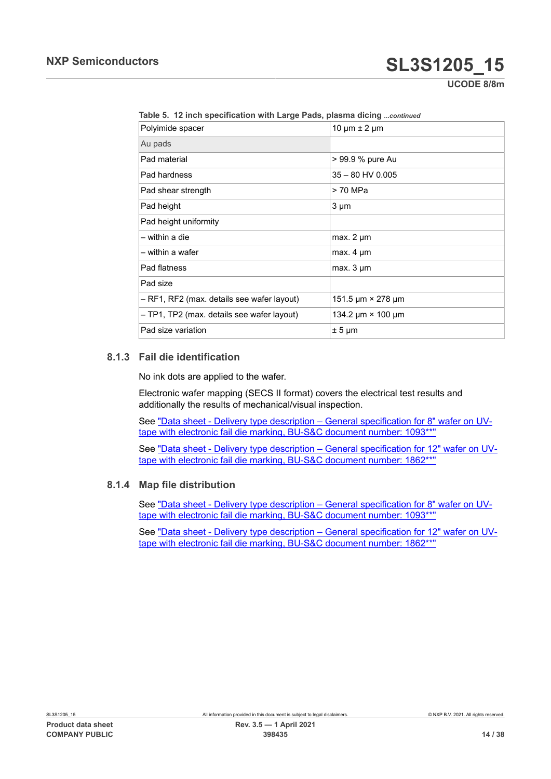**Table 5. 12 inch specification with Large Pads, plasma dicing** *...continued*

| Polyimide spacer                           | 10 $\mu$ m $\pm$ 2 $\mu$ m  |
|--------------------------------------------|-----------------------------|
| Au pads                                    |                             |
| Pad material                               | > 99.9 % pure Au            |
| Pad hardness                               | $35 - 80$ HV 0.005          |
| Pad shear strength                         | > 70 MPa                    |
| Pad height                                 | $3 \mu m$                   |
| Pad height uniformity                      |                             |
| - within a die                             | $max. 2 \mu m$              |
| - within a wafer                           | $max. 4 \mu m$              |
| Pad flatness                               | max. 3 µm                   |
| Pad size                                   |                             |
| - RF1, RF2 (max. details see wafer layout) | 151.5 µm × 278 µm           |
| - TP1, TP2 (max. details see wafer layout) | 134.2 $\mu$ m × 100 $\mu$ m |
| Pad size variation                         | $± 5 \mu m$                 |

#### **8.1.3 Fail die identification**

<span id="page-13-0"></span>No ink dots are applied to the wafer.

Electronic wafer mapping (SECS II format) covers the electrical test results and additionally the results of mechanical/visual inspection.

See ["Data sheet - Delivery type description – General specification for 8" wafer on UV](#page-31-0)[tape with electronic fail die marking, BU-S&C document number: 1093\\*\\*"](#page-31-0)

See ["Data sheet - Delivery type description – General specification for 12" wafer on UV](#page-31-1)[tape with electronic fail die marking, BU-S&C document number: 1862\\*\\*"](#page-31-1)

#### **8.1.4 Map file distribution**

<span id="page-13-1"></span>See "Data sheet - Delivery type description - General specification for 8" wafer on UV[tape with electronic fail die marking, BU-S&C document number: 1093\\*\\*"](#page-31-0)

See ["Data sheet - Delivery type description – General specification for 12" wafer on UV](#page-31-1)[tape with electronic fail die marking, BU-S&C document number: 1862\\*\\*"](#page-31-1)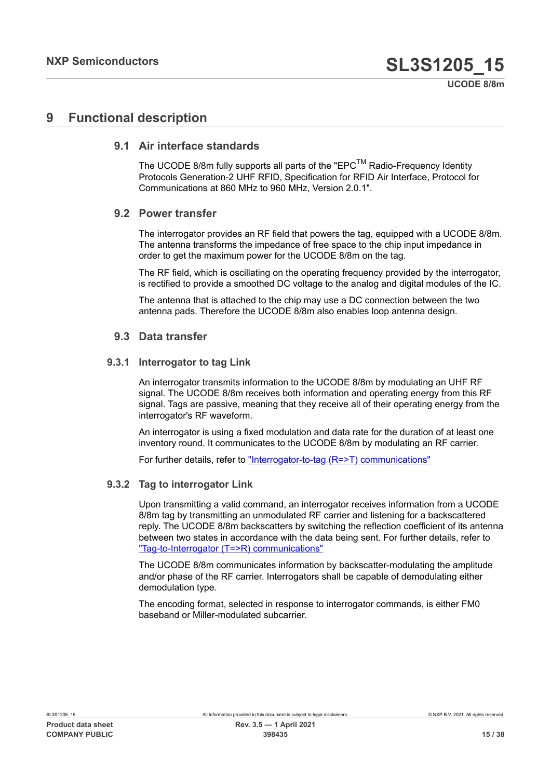## <span id="page-14-0"></span>**9 Functional description**

#### **9.1 Air interface standards**

<span id="page-14-1"></span>The UCODE 8/8m fully supports all parts of the "EPC<sup>TM</sup> Radio-Frequency Identity Protocols Generation-2 UHF RFID, Specification for RFID Air Interface, Protocol for Communications at 860 MHz to 960 MHz, Version 2.0.1".

### **9.2 Power transfer**

<span id="page-14-2"></span>The interrogator provides an RF field that powers the tag, equipped with a UCODE 8/8m. The antenna transforms the impedance of free space to the chip input impedance in order to get the maximum power for the UCODE 8/8m on the tag.

The RF field, which is oscillating on the operating frequency provided by the interrogator, is rectified to provide a smoothed DC voltage to the analog and digital modules of the IC.

The antenna that is attached to the chip may use a DC connection between the two antenna pads. Therefore the UCODE 8/8m also enables loop antenna design.

#### <span id="page-14-3"></span>**9.3 Data transfer**

#### **9.3.1 Interrogator to tag Link**

<span id="page-14-4"></span>An interrogator transmits information to the UCODE 8/8m by modulating an UHF RF signal. The UCODE 8/8m receives both information and operating energy from this RF signal. Tags are passive, meaning that they receive all of their operating energy from the interrogator's RF waveform.

An interrogator is using a fixed modulation and data rate for the duration of at least one inventory round. It communicates to the UCODE 8/8m by modulating an RF carrier.

<span id="page-14-5"></span>For further details, refer to ["Interrogator-to-tag \(R=>T\) communications"](#page-31-2)

#### **9.3.2 Tag to interrogator Link**

Upon transmitting a valid command, an interrogator receives information from a UCODE 8/8m tag by transmitting an unmodulated RF carrier and listening for a backscattered reply. The UCODE 8/8m backscatters by switching the reflection coefficient of its antenna between two states in accordance with the data being sent. For further details, refer to ["Tag-to-Interrogator](#page-31-2) (T=>R) communications"

The UCODE 8/8m communicates information by backscatter-modulating the amplitude and/or phase of the RF carrier. Interrogators shall be capable of demodulating either demodulation type.

The encoding format, selected in response to interrogator commands, is either FM0 baseband or Miller-modulated subcarrier.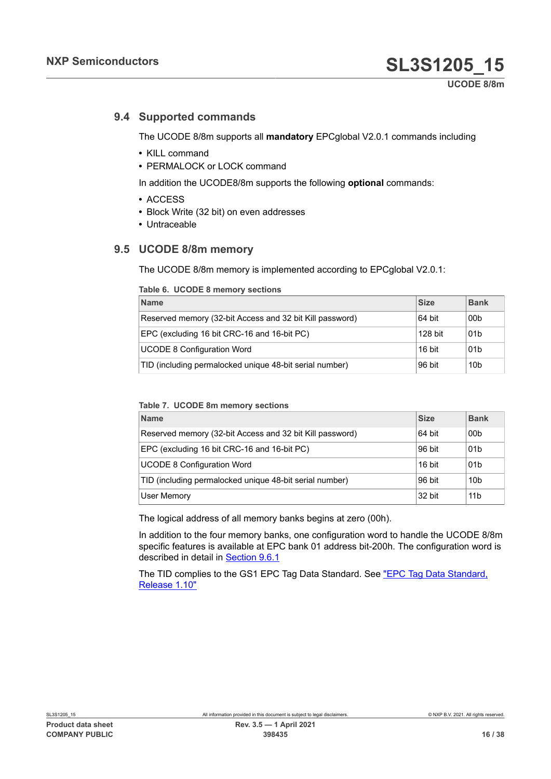#### **9.4 Supported commands**

<span id="page-15-2"></span>The UCODE 8/8m supports all **mandatory** EPCglobal V2.0.1 commands including

- **•** KILL command
- **•** PERMALOCK or LOCK command

In addition the UCODE8/8m supports the following **optional** commands:

- **•** ACCESS
- **•** Block Write (32 bit) on even addresses
- <span id="page-15-3"></span>**•** Untraceable

#### **9.5 UCODE 8/8m memory**

The UCODE 8/8m memory is implemented according to EPCglobal V2.0.1:

| Table 6. UCODE 8 memory sections                         |             |                 |  |
|----------------------------------------------------------|-------------|-----------------|--|
| <b>Name</b>                                              | <b>Size</b> | <b>Bank</b>     |  |
| Reserved memory (32-bit Access and 32 bit Kill password) | 64 bit      | 00 <sub>b</sub> |  |
| EPC (excluding 16 bit CRC-16 and 16-bit PC)              | 128 bit     | 01 <sub>b</sub> |  |
| <b>UCODE 8 Configuration Word</b>                        | 16 bit      | 01 <sub>b</sub> |  |
| TID (including permalocked unique 48-bit serial number)  | 96 bit      | 10 <sub>b</sub> |  |

<span id="page-15-0"></span>**Table 6. UCODE 8 memory sections**

<span id="page-15-1"></span>

|  |  |  |  | Table 7. UCODE 8m memory sections |
|--|--|--|--|-----------------------------------|
|--|--|--|--|-----------------------------------|

| <b>Name</b>                                              | <b>Size</b> | <b>Bank</b>     |
|----------------------------------------------------------|-------------|-----------------|
| Reserved memory (32-bit Access and 32 bit Kill password) | 64 bit      | 00 <sub>b</sub> |
| EPC (excluding 16 bit CRC-16 and 16-bit PC)              | 96 bit      | 01 <sub>b</sub> |
| <b>UCODE 8 Configuration Word</b>                        | 16 bit      | 01 <sub>b</sub> |
| TID (including permalocked unique 48-bit serial number)  | 96 bit      | 10 <sub>b</sub> |
| User Memory                                              | 32 bit      | 11 <sub>b</sub> |

The logical address of all memory banks begins at zero (00h).

In addition to the four memory banks, one configuration word to handle the UCODE 8/8m specific features is available at EPC bank 01 address bit-200h. The configuration word is described in detail in [Section 9.6.1](#page-19-0)

The TID complies to the GS1 EPC Tag Data Standard. See "EPC Tag Data [Standard,](#page-31-3) [Release 1.10"](#page-31-3)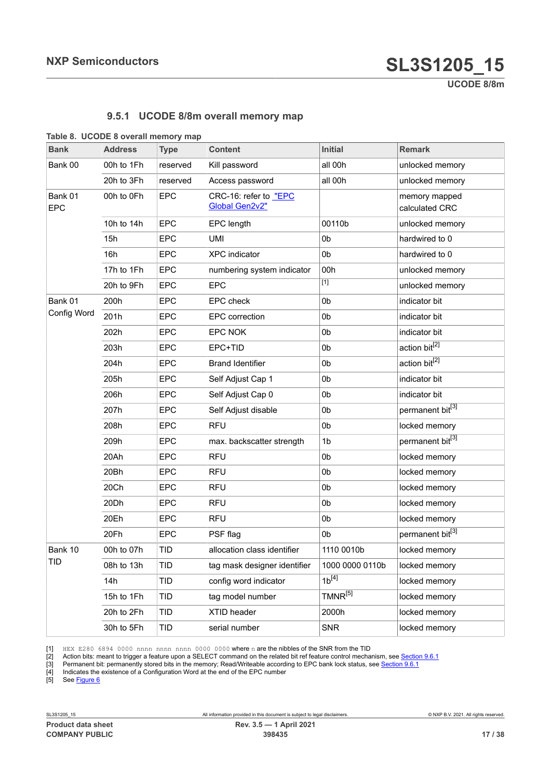#### <span id="page-16-6"></span><span id="page-16-5"></span><span id="page-16-4"></span><span id="page-16-3"></span><span id="page-16-2"></span><span id="page-16-1"></span><span id="page-16-0"></span>**9.5.1 UCODE 8/8m overall memory map**

#### **Table 8. UCODE 8 overall memory map**

| <b>Bank</b>           | <b>Address</b> | <b>Type</b> | <b>Content</b>                                 | Initial             | <b>Remark</b>                   |  |
|-----------------------|----------------|-------------|------------------------------------------------|---------------------|---------------------------------|--|
| Bank 00               | 00h to 1Fh     | reserved    | Kill password                                  | all 00h             | unlocked memory                 |  |
|                       | 20h to 3Fh     | reserved    | Access password                                | all 00h             | unlocked memory                 |  |
| Bank 01<br><b>EPC</b> | 00h to 0Fh     | <b>EPC</b>  | CRC-16: refer to "EPC<br><b>Global Gen2v2"</b> |                     | memory mapped<br>calculated CRC |  |
|                       | 10h to 14h     | <b>EPC</b>  | EPC length                                     | 00110b              | unlocked memory                 |  |
|                       | 15h            | <b>EPC</b>  | <b>UMI</b><br>0 <sub>b</sub>                   |                     | hardwired to 0                  |  |
|                       | 16h            | EPC         | <b>XPC</b> indicator<br>0b                     |                     | hardwired to 0                  |  |
|                       | 17h to 1Fh     | <b>EPC</b>  | numbering system indicator                     | 00h                 | unlocked memory                 |  |
|                       | 20h to 9Fh     | <b>EPC</b>  | <b>EPC</b>                                     | $\overline{[1]}$    | unlocked memory                 |  |
| Bank 01               | 200h           | <b>EPC</b>  | EPC check                                      | 0 <sub>b</sub>      | indicator bit                   |  |
| Config Word           | 201h           | <b>EPC</b>  | <b>EPC</b> correction                          | 0 <sub>b</sub>      | indicator bit                   |  |
|                       | 202h           | EPC         | <b>EPC NOK</b>                                 | 0 <sub>b</sub>      | indicator bit                   |  |
|                       | 203h           | <b>EPC</b>  | EPC+TID                                        | 0b                  | action bit <sup>[2]</sup>       |  |
|                       | 204h           | <b>EPC</b>  | <b>Brand Identifier</b>                        | 0 <sub>b</sub>      | action bit <sup>[2]</sup>       |  |
|                       | 205h           | <b>EPC</b>  | Self Adjust Cap 1                              | 0 <sub>b</sub>      | indicator bit                   |  |
|                       | 206h           | <b>EPC</b>  | Self Adjust Cap 0                              | 0 <sub>b</sub>      | indicator bit                   |  |
|                       | 207h           | <b>EPC</b>  | Self Adjust disable                            | 0b                  | permanent bit <sup>[3]</sup>    |  |
|                       | 208h           | <b>EPC</b>  | <b>RFU</b>                                     | 0b                  | locked memory                   |  |
|                       | 209h           | <b>EPC</b>  | max. backscatter strength                      | 1 <sub>b</sub>      | permanent bit[3]                |  |
|                       | 20Ah           | <b>EPC</b>  | <b>RFU</b>                                     | 0 <sub>b</sub>      | locked memory                   |  |
|                       | 20Bh           | EPC         | <b>RFU</b>                                     | 0 <sub>b</sub>      | locked memory                   |  |
|                       | 20Ch           | <b>EPC</b>  | <b>RFU</b>                                     | 0b                  | locked memory                   |  |
|                       | 20Dh           | <b>EPC</b>  | <b>RFU</b>                                     | 0b                  | locked memory                   |  |
|                       | 20Eh           | EPC         | <b>RFU</b>                                     | 0b                  | locked memory                   |  |
|                       | 20Fh           | <b>EPC</b>  | PSF flag                                       | 0 <sub>b</sub>      | permanent bit[3]                |  |
| Bank 10               | 00h to 07h     | TID         | allocation class identifier                    | 1110 0010b          | locked memory                   |  |
| TID                   | 08h to 13h     | TID         | tag mask designer identifier                   | 1000 0000 0110b     | locked memory                   |  |
|                       | 14h            | <b>TID</b>  | config word indicator                          | $1b^{[4]}$          | locked memory                   |  |
|                       | 15h to 1Fh     | TID         | tag model number                               | TMNR <sup>[5]</sup> | locked memory                   |  |
|                       | 20h to 2Fh     | TID         | <b>XTID header</b>                             | 2000h               | locked memory                   |  |
|                       | 30h to 5Fh     | <b>TID</b>  | serial number                                  | <b>SNR</b>          | locked memory                   |  |

[1] HEX E280 6894 0000 nnnn nnnn nnnn 0000 0000 where n are the nibbles of the SNR from the TID [2] Action bits: meant to trigger a feature upon a SELECT command on the related bit ref feature control mechanism, see [Section 9.6.1](#page-19-0) Fermanent bit: permanently stored bits in the memory; Read/Writeable according to EPC bank lock status, see <u>Section</u><br>[3] Permanent bit: permanently stored bits in the memory; Read/Writeable according to EPC bank lock stat

[4] Indicates the existence of a Configuration Word at the end of the EPC number<br>[5] See Figure 6

See [Figure 6](#page-18-0)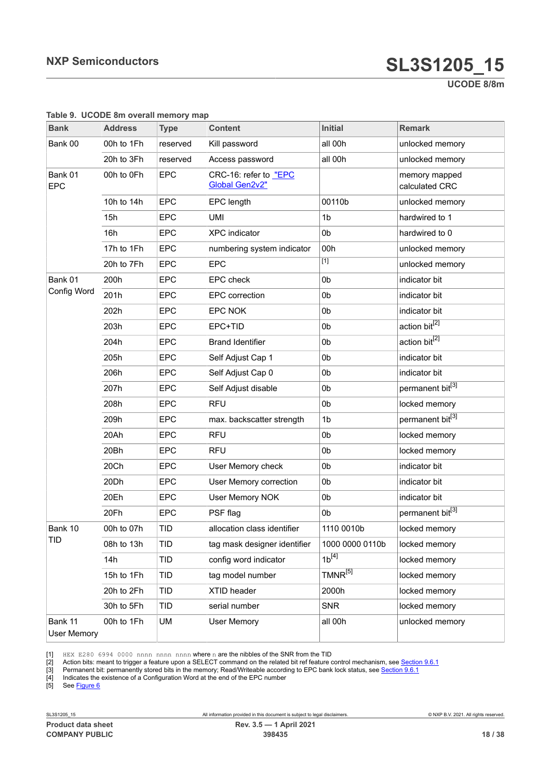**UCODE 8/8m**

<span id="page-17-4"></span><span id="page-17-3"></span><span id="page-17-2"></span><span id="page-17-1"></span>

| <b>Bank</b>                   | <b>Address</b> | <b>Type</b> | <b>Content</b>                          | <b>Initial</b>      | <b>Remark</b>                   |
|-------------------------------|----------------|-------------|-----------------------------------------|---------------------|---------------------------------|
| Bank 00                       | 00h to 1Fh     | reserved    | Kill password                           | all 00h             | unlocked memory                 |
|                               | 20h to 3Fh     | reserved    | Access password                         | all 00h             | unlocked memory                 |
| Bank 01<br>EPC                | 00h to 0Fh     | <b>EPC</b>  | CRC-16: refer to "EPC<br>Global Gen2v2" |                     | memory mapped<br>calculated CRC |
|                               | 10h to 14h     | <b>EPC</b>  | EPC length                              | 00110b              | unlocked memory                 |
|                               | 15h            | <b>EPC</b>  | UMI                                     | 1 <sub>b</sub>      | hardwired to 1                  |
|                               | 16h            | <b>EPC</b>  | <b>XPC</b> indicator                    | 0b                  | hardwired to 0                  |
|                               | 17h to 1Fh     | <b>EPC</b>  | numbering system indicator              | 00h                 | unlocked memory                 |
|                               | 20h to 7Fh     | <b>EPC</b>  | <b>EPC</b>                              | $\overline{[1]}$    | unlocked memory                 |
| Bank 01                       | 200h           | <b>EPC</b>  | <b>EPC</b> check                        | 0 <sub>b</sub>      | indicator bit                   |
| Config Word                   | 201h           | <b>EPC</b>  | <b>EPC</b> correction                   | 0 <sub>b</sub>      | indicator bit                   |
|                               | 202h           | <b>EPC</b>  | <b>EPC NOK</b>                          | 0 <sub>b</sub>      | indicator bit                   |
|                               | 203h           | <b>EPC</b>  | EPC+TID                                 | 0b                  | action bit <sup>[2]</sup>       |
|                               | 204h           | <b>EPC</b>  | <b>Brand Identifier</b>                 | 0b                  | action bit <sup>[2]</sup>       |
|                               | 205h           | <b>EPC</b>  | Self Adjust Cap 1                       | 0b                  | indicator bit                   |
|                               | 206h           | <b>EPC</b>  | Self Adjust Cap 0                       | 0 <sub>b</sub>      | indicator bit                   |
|                               | 207h           | <b>EPC</b>  | Self Adjust disable                     | 0 <sub>b</sub>      | permanent bit <sup>[3]</sup>    |
|                               | 208h           | <b>EPC</b>  | <b>RFU</b>                              | 0b                  | locked memory                   |
|                               | 209h           | <b>EPC</b>  | max. backscatter strength               | 1b                  | permanent bit[3]                |
|                               | 20Ah           | <b>EPC</b>  | <b>RFU</b>                              | 0b                  | locked memory                   |
|                               | 20Bh           | <b>EPC</b>  | <b>RFU</b>                              | 0b                  | locked memory                   |
|                               | 20Ch           | <b>EPC</b>  | User Memory check                       | 0 <sub>b</sub>      | indicator bit                   |
|                               | 20Dh           | <b>EPC</b>  | <b>User Memory correction</b>           | 0 <sub>b</sub>      | indicator bit                   |
|                               | 20Eh           | <b>EPC</b>  | <b>User Memory NOK</b>                  | 0b                  | indicator bit                   |
|                               | 20Fh           | <b>EPC</b>  | PSF flag                                | 0 <sub>b</sub>      | permanent bit <sup>[3]</sup>    |
| Bank 10                       | 00h to 07h     | TID         | allocation class identifier             | 1110 0010b          | locked memory                   |
| TID                           | 08h to 13h     | TID         | tag mask designer identifier            | 1000 0000 0110b     | locked memory                   |
|                               | 14h            | TID         | config word indicator                   | $1b^{[4]}$          | locked memory                   |
|                               | 15h to 1Fh     | TID         | tag model number                        | TMNR <sup>[5]</sup> | locked memory                   |
|                               | 20h to 2Fh     | TID         | XTID header                             | 2000h               | locked memory                   |
|                               | 30h to 5Fh     | TID         | serial number                           | <b>SNR</b>          | locked memory                   |
| Bank 11<br><b>User Memory</b> | 00h to 1Fh     | <b>UM</b>   | <b>User Memory</b>                      | all 00h             | unlocked memory                 |

#### <span id="page-17-5"></span><span id="page-17-0"></span>**Table 9. UCODE 8m overall memory map**

[1]  $\text{HEX E280 } 6994 \text{ } 0000 \text{ minn min min}$  mnn where n are the nibbles of the SNR from the TID<br>[2] Action bits: meant to trigger a feature upon a SELECT command on the related bit ref feature<br>[3] Permanent bit: permanently st

[2] Action bits: meant to trigger a feature upon a SELECT command on the related bit ref feature control mechanism, see <u>Section 9.6.1</u>

[3] Permanent bit: permanently stored bits in the memory; Read/Writeable according to EPC bank lock status, see <u>[Section 9.6.1](#page-19-0)</u>

[4] Indicates the existence of a Configuration Word at the end of the EPC number

 $[5]$  See [Figure 6](#page-18-0)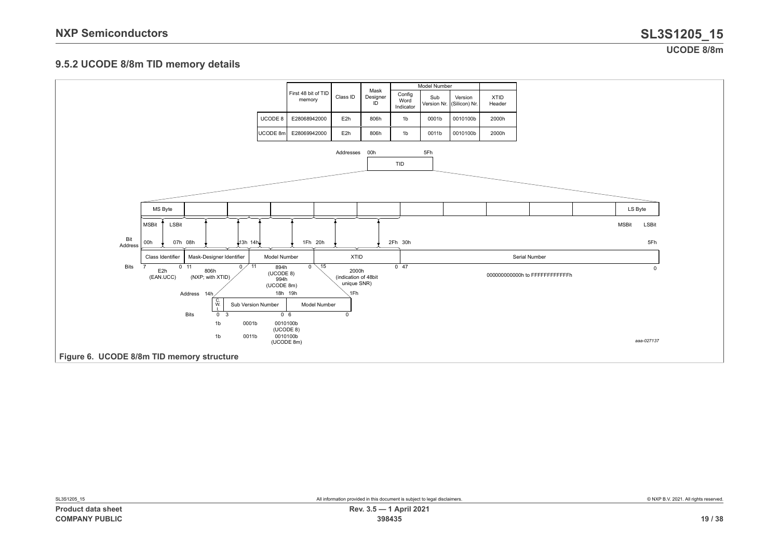#### **9.5.2 UCODE 8/8m TID memory details**

<span id="page-18-1"></span><span id="page-18-0"></span>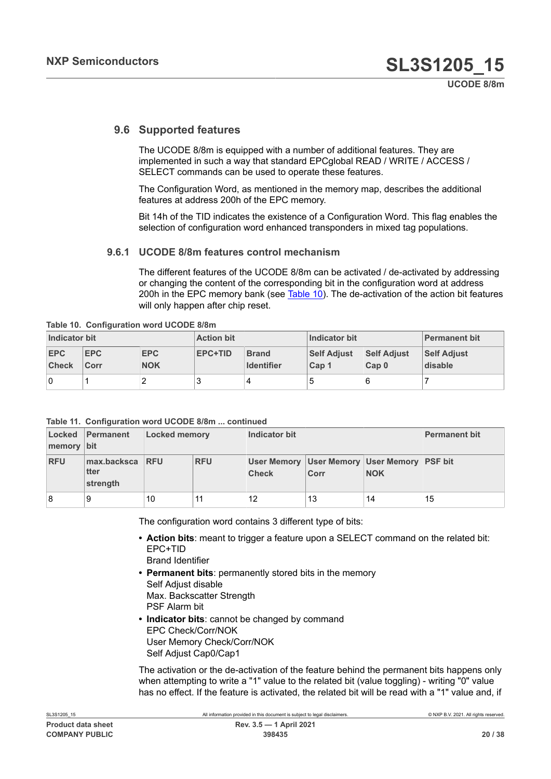#### **9.6 Supported features**

<span id="page-19-3"></span>The UCODE 8/8m is equipped with a number of additional features. They are implemented in such a way that standard EPCglobal READ / WRITE / ACCESS / SELECT commands can be used to operate these features.

The Configuration Word, as mentioned in the memory map, describes the additional features at address 200h of the EPC memory.

Bit 14h of the TID indicates the existence of a Configuration Word. This flag enables the selection of configuration word enhanced transponders in mixed tag populations.

#### **9.6.1 UCODE 8/8m features control mechanism**

<span id="page-19-1"></span><span id="page-19-0"></span>The different features of the UCODE 8/8m can be activated / de-activated by addressing or changing the content of the corresponding bit in the configuration word at address 200h in the EPC memory bank (see [Table](#page-19-1) 10). The de-activation of the action bit features will only happen after chip reset.

| Indicator bit              |             | <b>Action bit</b>        |                | Indicator bit                     |                                                                | <b>Permanent bit</b> |                               |
|----------------------------|-------------|--------------------------|----------------|-----------------------------------|----------------------------------------------------------------|----------------------|-------------------------------|
| <b>EPC</b><br><b>Check</b> | EPC<br>Corr | <b>EPC</b><br><b>NOK</b> | <b>EPC+TID</b> | <b>Brand</b><br><b>Identifier</b> | Self Adiust<br><b>Self Adjust</b><br>Cap <sub>0</sub><br>Cap 1 |                      | <b>Self Adjust</b><br>disable |
| 0                          |             |                          |                |                                   |                                                                | 6                    |                               |

**Table 10. Configuration word UCODE 8/8m**

#### <span id="page-19-2"></span>**Table 11. Configuration word UCODE 8/8m ... continued**

| memory bit | Locked Permanent                                             | <b>Locked memory</b> |            | Indicator bit                                                     |      |            | <b>Permanent bit</b> |
|------------|--------------------------------------------------------------|----------------------|------------|-------------------------------------------------------------------|------|------------|----------------------|
| <b>RFU</b> | $\sqrt{max}$ backsca $\sqrt{RFU}$<br><b>tter</b><br>strength |                      | <b>RFU</b> | User Memory   User Memory   User Memory   PSF bit<br><b>Check</b> | Corr | <b>NOK</b> |                      |
| 8          | -9                                                           | 10                   |            | 12                                                                | 13   | 14         | 15                   |

The configuration word contains 3 different type of bits:

**• Action bits**: meant to trigger a feature upon a SELECT command on the related bit: EPC+TID

Brand Identifier

- **• Permanent bits**: permanently stored bits in the memory Self Adjust disable Max. Backscatter Strength
	- PSF Alarm bit
- **• Indicator bits**: cannot be changed by command EPC Check/Corr/NOK User Memory Check/Corr/NOK Self Adjust Cap0/Cap1

The activation or the de-activation of the feature behind the permanent bits happens only when attempting to write a "1" value to the related bit (value toggling) - writing "0" value has no effect. If the feature is activated, the related bit will be read with a "1" value and, if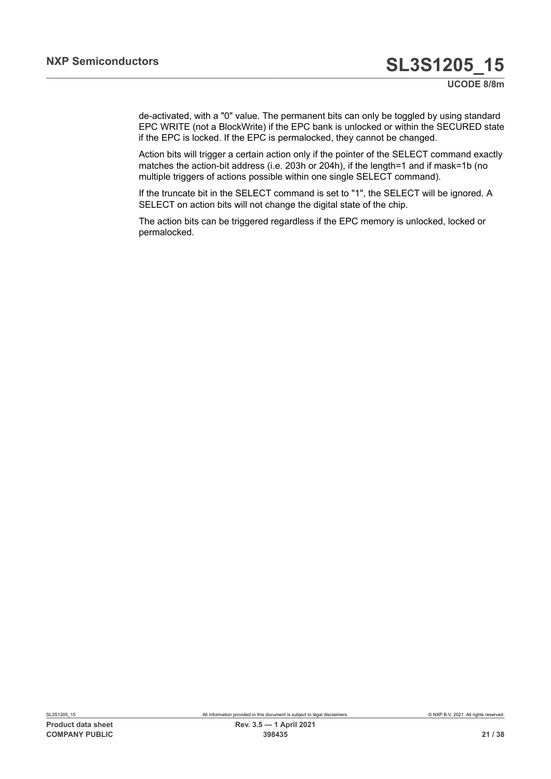**UCODE 8/8m**

de-activated, with a "0" value. The permanent bits can only be toggled by using standard EPC WRITE (not a BlockWrite) if the EPC bank is unlocked or within the SECURED state if the EPC is locked. If the EPC is permalocked, they cannot be changed.

Action bits will trigger a certain action only if the pointer of the SELECT command exactly matches the action-bit address (i.e. 203h or 204h), if the length=1 and if mask=1b (no multiple triggers of actions possible within one single SELECT command).

If the truncate bit in the SELECT command is set to "1", the SELECT will be ignored. A SELECT on action bits will not change the digital state of the chip.

The action bits can be triggered regardless if the EPC memory is unlocked, locked or permalocked.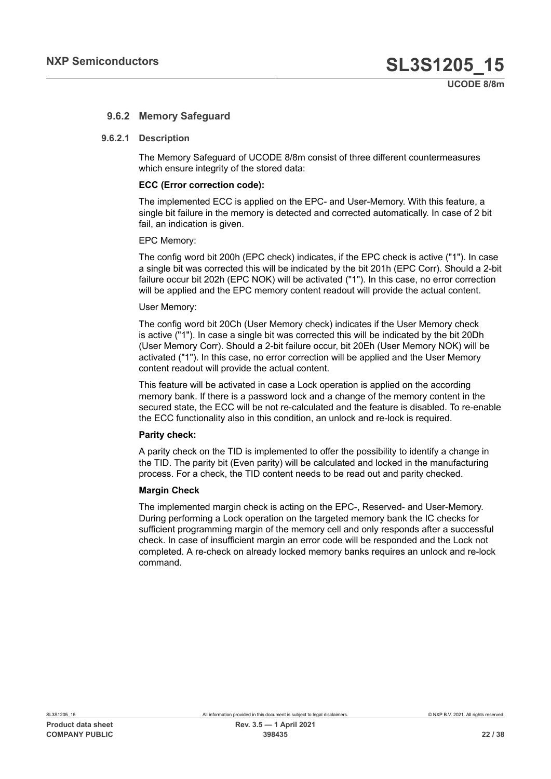#### <span id="page-21-0"></span>**9.6.2 Memory Safeguard**

#### **9.6.2.1 Description**

<span id="page-21-1"></span>The Memory Safeguard of UCODE 8/8m consist of three different countermeasures which ensure integrity of the stored data:

#### **ECC (Error correction code):**

The implemented ECC is applied on the EPC- and User-Memory. With this feature, a single bit failure in the memory is detected and corrected automatically. In case of 2 bit fail, an indication is given.

#### EPC Memory:

The config word bit 200h (EPC check) indicates, if the EPC check is active ("1"). In case a single bit was corrected this will be indicated by the bit 201h (EPC Corr). Should a 2-bit failure occur bit 202h (EPC NOK) will be activated ("1"). In this case, no error correction will be applied and the EPC memory content readout will provide the actual content.

#### User Memory:

The config word bit 20Ch (User Memory check) indicates if the User Memory check is active ("1"). In case a single bit was corrected this will be indicated by the bit 20Dh (User Memory Corr). Should a 2-bit failure occur, bit 20Eh (User Memory NOK) will be activated ("1"). In this case, no error correction will be applied and the User Memory content readout will provide the actual content.

This feature will be activated in case a Lock operation is applied on the according memory bank. If there is a password lock and a change of the memory content in the secured state, the ECC will be not re-calculated and the feature is disabled. To re-enable the ECC functionality also in this condition, an unlock and re-lock is required.

#### **Parity check:**

A parity check on the TID is implemented to offer the possibility to identify a change in the TID. The parity bit (Even parity) will be calculated and locked in the manufacturing process. For a check, the TID content needs to be read out and parity checked.

#### **Margin Check**

The implemented margin check is acting on the EPC-, Reserved- and User-Memory. During performing a Lock operation on the targeted memory bank the IC checks for sufficient programming margin of the memory cell and only responds after a successful check. In case of insufficient margin an error code will be responded and the Lock not completed. A re-check on already locked memory banks requires an unlock and re-lock command.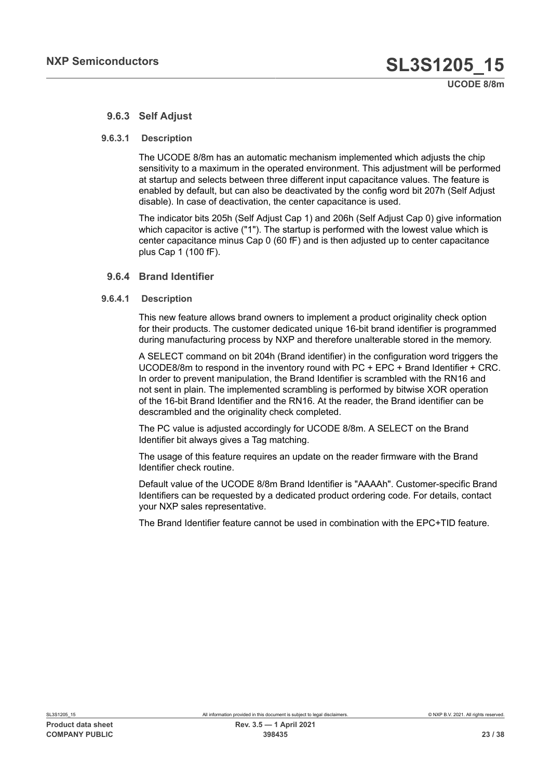#### <span id="page-22-1"></span>**9.6.3 Self Adjust**

#### **9.6.3.1 Description**

<span id="page-22-2"></span>The UCODE 8/8m has an automatic mechanism implemented which adjusts the chip sensitivity to a maximum in the operated environment. This adjustment will be performed at startup and selects between three different input capacitance values. The feature is enabled by default, but can also be deactivated by the config word bit 207h (Self Adjust disable). In case of deactivation, the center capacitance is used.

The indicator bits 205h (Self Adjust Cap 1) and 206h (Self Adjust Cap 0) give information which capacitor is active ("1"). The startup is performed with the lowest value which is center capacitance minus Cap 0 (60 fF) and is then adjusted up to center capacitance plus Cap 1 (100 fF).

#### <span id="page-22-0"></span>**9.6.4 Brand Identifier**

#### **9.6.4.1 Description**

<span id="page-22-3"></span>This new feature allows brand owners to implement a product originality check option for their products. The customer dedicated unique 16-bit brand identifier is programmed during manufacturing process by NXP and therefore unalterable stored in the memory.

A SELECT command on bit 204h (Brand identifier) in the configuration word triggers the UCODE8/8m to respond in the inventory round with PC + EPC + Brand Identifier + CRC. In order to prevent manipulation, the Brand Identifier is scrambled with the RN16 and not sent in plain. The implemented scrambling is performed by bitwise XOR operation of the 16-bit Brand Identifier and the RN16. At the reader, the Brand identifier can be descrambled and the originality check completed.

The PC value is adjusted accordingly for UCODE 8/8m. A SELECT on the Brand Identifier bit always gives a Tag matching.

The usage of this feature requires an update on the reader firmware with the Brand Identifier check routine.

Default value of the UCODE 8/8m Brand Identifier is "AAAAh". Customer-specific Brand Identifiers can be requested by a dedicated product ordering code. For details, contact your NXP sales representative.

The Brand Identifier feature cannot be used in combination with the EPC+TID feature.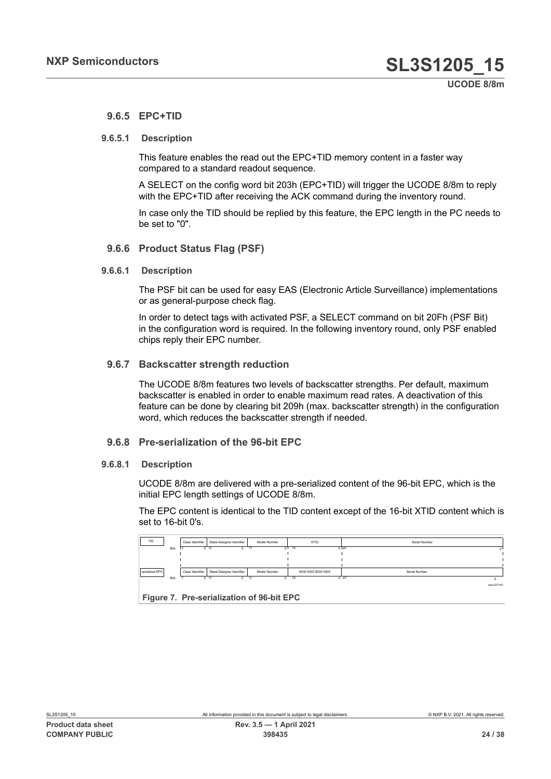#### <span id="page-23-1"></span>**9.6.5 EPC+TID**

#### **9.6.5.1 Description**

<span id="page-23-2"></span>This feature enables the read out the EPC+TID memory content in a faster way compared to a standard readout sequence.

A SELECT on the config word bit 203h (EPC+TID) will trigger the UCODE 8/8m to reply with the EPC+TID after receiving the ACK command during the inventory round.

<span id="page-23-3"></span>In case only the TID should be replied by this feature, the EPC length in the PC needs to be set to "0".

#### **9.6.6 Product Status Flag (PSF)**

#### **9.6.6.1 Description**

<span id="page-23-4"></span>The PSF bit can be used for easy EAS (Electronic Article Surveillance) implementations or as general-purpose check flag.

In order to detect tags with activated PSF, a SELECT command on bit 20Fh (PSF Bit) in the configuration word is required. In the following inventory round, only PSF enabled chips reply their EPC number.

#### **9.6.7 Backscatter strength reduction**

<span id="page-23-5"></span>The UCODE 8/8m features two levels of backscatter strengths. Per default, maximum backscatter is enabled in order to enable maximum read rates. A deactivation of this feature can be done by clearing bit 209h (max. backscatter strength) in the configuration word, which reduces the backscatter strength if needed.

#### <span id="page-23-6"></span>**9.6.8 Pre-serialization of the 96-bit EPC**

#### **9.6.8.1 Description**

<span id="page-23-7"></span>UCODE 8/8m are delivered with a pre-serialized content of the 96-bit EPC, which is the initial EPC length settings of UCODE 8/8m.

The EPC content is identical to the TID content except of the 16-bit XTID content which is set to 16-bit 0's.

<span id="page-23-0"></span>

| TID            |             | Class Identifier | Mask-Designer Identifier | Model Number | <b>XTID</b>         | Serial Number      |
|----------------|-------------|------------------|--------------------------|--------------|---------------------|--------------------|
|                | <b>Bits</b> |                  | $0$ 11<br>$^{\circ}$     | 11<br>0 I    | $-15$               | 0147<br>0          |
|                |             |                  |                          |              |                     |                    |
|                |             |                  |                          |              |                     |                    |
|                |             |                  |                          |              |                     |                    |
| serialized EPC |             | Class Identifier | Mask-Designer Identifier | Model Number | 0000 0000 0000 0000 | Serial Number      |
|                | Bits        |                  | 0.11<br>0.               | 11<br>0.     | 15                  | 0.47<br>$^{\circ}$ |
|                |             |                  |                          |              |                     |                    |
|                |             |                  |                          |              |                     | aaa-027142         |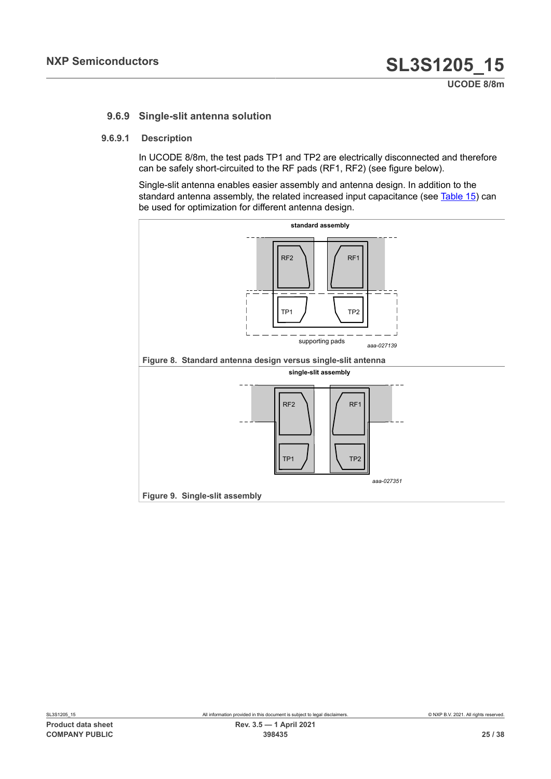#### <span id="page-24-2"></span>**9.6.9 Single-slit antenna solution**

#### **9.6.9.1 Description**

<span id="page-24-3"></span>In UCODE 8/8m, the test pads TP1 and TP2 are electrically disconnected and therefore can be safely short-circuited to the RF pads (RF1, RF2) (see figure below).

Single-slit antenna enables easier assembly and antenna design. In addition to the standard antenna assembly, the related increased input capacitance (see [Table](#page-28-0) 15) can be used for optimization for different antenna design.

<span id="page-24-1"></span><span id="page-24-0"></span>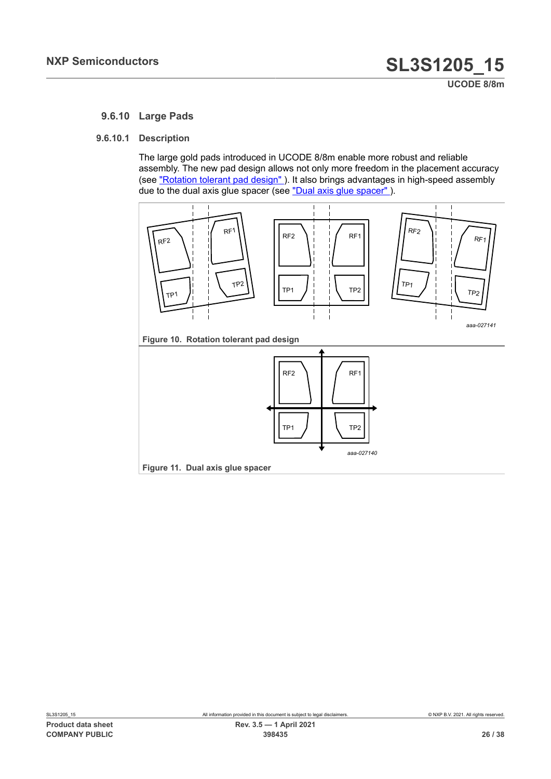#### <span id="page-25-2"></span>**9.6.10 Large Pads**

#### **9.6.10.1 Description**

<span id="page-25-3"></span>The large gold pads introduced in UCODE 8/8m enable more robust and reliable assembly. The new pad design allows not only more freedom in the placement accuracy (see "Rotation tolerant pad design"). It also brings advantages in high-speed assembly due to the dual axis glue spacer (see ["Dual axis glue spacer" \)](#page-25-1).

<span id="page-25-1"></span><span id="page-25-0"></span>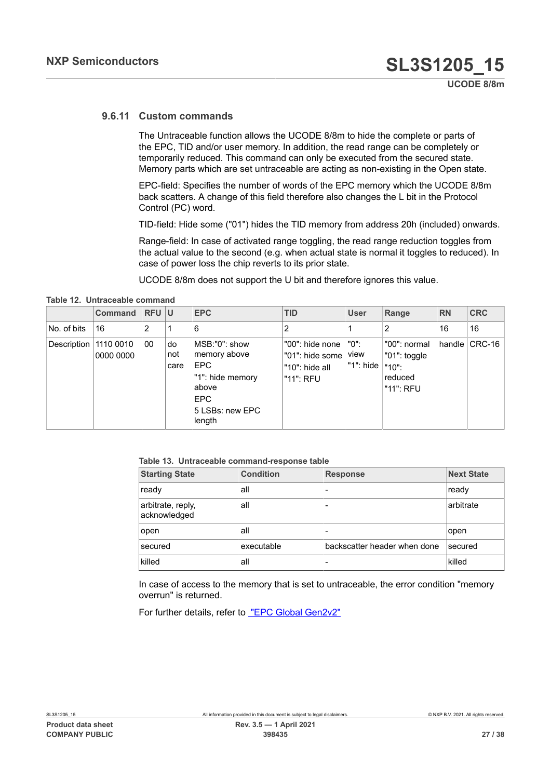#### **9.6.11 Custom commands**

<span id="page-26-2"></span>The Untraceable function allows the UCODE 8/8m to hide the complete or parts of the EPC, TID and/or user memory. In addition, the read range can be completely or temporarily reduced. This command can only be executed from the secured state. Memory parts which are set untraceable are acting as non-existing in the Open state.

EPC-field: Specifies the number of words of the EPC memory which the UCODE 8/8m back scatters. A change of this field therefore also changes the L bit in the Protocol Control (PC) word.

TID-field: Hide some ("01") hides the TID memory from address 20h (included) onwards.

Range-field: In case of activated range toggling, the read range reduction toggles from the actual value to the second (e.g. when actual state is normal it toggles to reduced). In case of power loss the chip reverts to its prior state.

<span id="page-26-0"></span>UCODE 8/8m does not support the U bit and therefore ignores this value.

**Table 12. Untraceable command**

|                         | <b>Command</b> | <b>RFUU</b> |                   | <b>EPC</b>                                                                                                          | <b>TID</b>                                                        | <b>User</b>               | Range                                                              | <b>RN</b> | <b>CRC</b>    |
|-------------------------|----------------|-------------|-------------------|---------------------------------------------------------------------------------------------------------------------|-------------------------------------------------------------------|---------------------------|--------------------------------------------------------------------|-----------|---------------|
| No. of bits             | 16             | 2           |                   | 6                                                                                                                   | 2                                                                 |                           | $\overline{2}$                                                     | 16        | 16            |
| Description   1110 0010 | 0000 0000      | 00          | do<br>not<br>care | MSB:"0": show<br>memory above<br><b>EPC</b><br>"1": hide memory<br>above<br><b>EPC</b><br>5 LSBs: new EPC<br>length | "00": hide none<br>"01": hide some<br>"10": hide all<br>"11": RFU | "0":<br>view<br>"1": hide | ∣"00": normal<br>,"01": toggle<br>$"10"$ :<br>reduced<br>"11": RFU |           | handle CRC-16 |

#### <span id="page-26-1"></span>**Table 13. Untraceable command-response table**

| <b>Starting State</b>             | <b>Condition</b> | <b>Response</b>              | <b>Next State</b> |
|-----------------------------------|------------------|------------------------------|-------------------|
| ready                             | all              | ۰                            | ready             |
| arbitrate, reply,<br>acknowledged | all              | ۰                            | arbitrate         |
| open                              | all              | ۰                            | open              |
| secured                           | executable       | backscatter header when done | secured           |
| killed                            | all              | ۰                            | killed            |

In case of access to the memory that is set to untraceable, the error condition "memory overrun" is returned.

For further details, refer to ["EPC Global Gen2v2"](#page-31-2)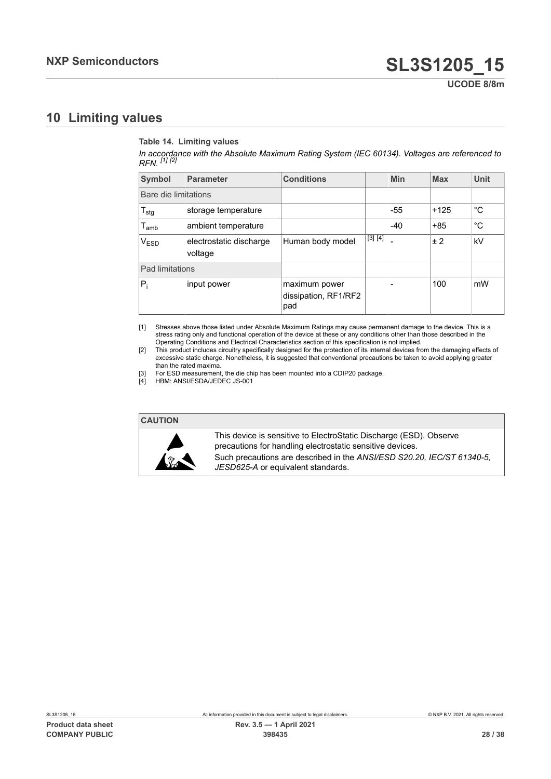## <span id="page-27-5"></span>**10 Limiting values**

#### <span id="page-27-4"></span><span id="page-27-1"></span><span id="page-27-0"></span>**Table 14. Limiting values**

<span id="page-27-2"></span>In accordance with the Absolute Maximum Rating System (IEC 60134). Voltages are referenced to<br>RFN. <sup>[\[1\]](#page-27-0) [\[2\]](#page-27-1)</sup>

<span id="page-27-3"></span>

| <b>Symbol</b>               | <b>Parameter</b>                   | <b>Conditions</b>                            |         | Min   | <b>Max</b> | <b>Unit</b> |
|-----------------------------|------------------------------------|----------------------------------------------|---------|-------|------------|-------------|
| Bare die limitations        |                                    |                                              |         |       |            |             |
| $T_{\text{stg}}$            | storage temperature                |                                              |         | $-55$ | $+125$     | °C          |
| $\mathsf{T}_{\mathsf{amb}}$ | ambient temperature                |                                              |         | $-40$ | $+85$      | $^{\circ}C$ |
| <b>VESD</b>                 | electrostatic discharge<br>voltage | Human body model                             | [3] [4] |       | ±2         | kV          |
| Pad limitations             |                                    |                                              |         |       |            |             |
| $P_i$                       | input power                        | maximum power<br>dissipation, RF1/RF2<br>pad |         |       | 100        | mW          |

[1] Stresses above those listed under Absolute Maximum Ratings may cause permanent damage to the device. This is a stress rating only and functional operation of the device at these or any conditions other than those described in the Operating Conditions and Electrical Characteristics section of this specification is not implied.

[2] This product includes circuitry specifically designed for the protection of its internal devices from the damaging effects of excessive static charge. Nonetheless, it is suggested that conventional precautions be taken to avoid applying greater than the rated maxima.

[3] For ESD measurement, the die chip has been mounted into a CDIP20 package.

[4] HBM: ANSI/ESDA/JEDEC JS-001

#### **CAUTION**



This device is sensitive to ElectroStatic Discharge (ESD). Observe precautions for handling electrostatic sensitive devices. Such precautions are described in the *ANSI/ESD S20.20, IEC/ST 61340-5, JESD625-A* or equivalent standards.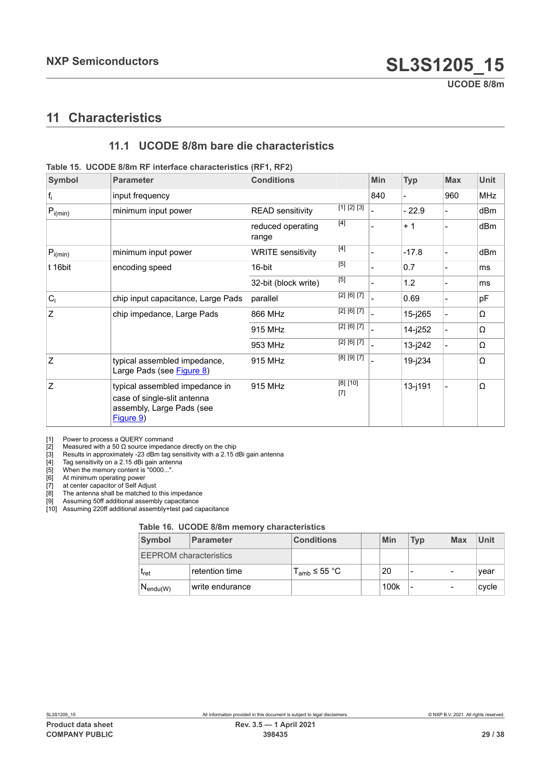## <span id="page-28-12"></span>**11 Characteristics**

#### <span id="page-28-13"></span><span id="page-28-10"></span><span id="page-28-9"></span><span id="page-28-8"></span><span id="page-28-7"></span><span id="page-28-6"></span><span id="page-28-5"></span><span id="page-28-4"></span><span id="page-28-3"></span><span id="page-28-2"></span><span id="page-28-1"></span><span id="page-28-0"></span>**11.1 UCODE 8/8m bare die characteristics**

#### **Table 15. UCODE 8/8m RF interface characteristics (RF1, RF2)**

| <b>Symbol</b>     | <b>Parameter</b>                                                                                        | <b>Conditions</b>          |                   | <b>Min</b> | <b>Typ</b> | <b>Max</b> | Unit |
|-------------------|---------------------------------------------------------------------------------------------------------|----------------------------|-------------------|------------|------------|------------|------|
| $f_i$             | input frequency                                                                                         |                            |                   | 840        |            | 960        | MHz  |
| $P_{i(min)}$      | minimum input power                                                                                     | <b>READ</b> sensitivity    | [1] [2] [3]       |            | $-22.9$    |            | dBm  |
|                   |                                                                                                         | reduced operating<br>range | $[4]$             |            | $+1$       |            | dBm  |
| $\mid P_{i(min)}$ | minimum input power                                                                                     | <b>WRITE</b> sensitivity   | $[4]$             |            | $-17.8$    |            | dBm  |
| t 16bit           | encoding speed                                                                                          | 16-bit                     | [5]               |            | 0.7        |            | ms   |
|                   |                                                                                                         | 32-bit (block write)       | [5]               |            | 1.2        |            | ms   |
| $C_i$             | chip input capacitance, Large Pads                                                                      | parallel                   | [2] [6] [7]       |            | 0.69       |            | pF   |
| Z                 | chip impedance, Large Pads                                                                              | 866 MHz                    | [2] [6] [7]       |            | 15-j265    |            | Ω    |
|                   |                                                                                                         | 915 MHz                    | [2] [6] [7]       |            | 14-j252    |            | Ω    |
|                   |                                                                                                         | 953 MHz                    | [2] [6] [7]       |            | 13-j242    |            | Ω    |
| Z                 | typical assembled impedance,<br>Large Pads (see Figure 8)                                               | 915 MHz                    | $[8]$ $[9]$ $[7]$ |            | 19-j234    |            | Ω    |
| Z                 | typical assembled impedance in<br>case of single-slit antenna<br>assembly, Large Pads (see<br>Figure 9) | 915 MHz                    | [8] [10]<br>$[7]$ |            | $13 - 191$ |            | Ω    |

[1] Power to process a QUERY command<br>
[2] Measured with a 50  $\Omega$  source impedane<br>
[3] Results in approximately -23 dBm tag s<br>
[4] Tag sensitivity on a 2.15 dBi gain anten<br>
[5] When the memory content is "0000...". Measured with a 50  $\Omega$  source impedance directly on the chip

Results in approximately -23 dBm tag sensitivity with a 2.15 dBi gain antenna

[4] Tag sensitivity on a 2.15 dBi gain antenna

[5] When the memory content is "0000...".<br>[6] At minimum operating power

[6] At minimum operating power<br>[7] at center capacitor of Self Ad<br>[8] The antenna shall be matche

at center capacitor of Self Adjust

[8] The antenna shall be matched to this impedance<br>[9] Assuming 50ff additional assembly capacitance [9] Assuming 50ff additional assembly capacitance

[10] Assuming 220ff additional assembly+test pad capacitance

#### <span id="page-28-11"></span>**Table 16. UCODE 8/8m memory characteristics**

| <b>Symbol</b>                 | <b>Conditions</b><br><b>Parameter</b> |                                     | <b>Min</b> | <b>Typ</b> | <b>Max</b> | Unit  |
|-------------------------------|---------------------------------------|-------------------------------------|------------|------------|------------|-------|
| <b>EEPROM</b> characteristics |                                       |                                     |            |            |            |       |
| $r_{\rm ret}$                 | retention time                        | $T_{\text{amb}} \leq 55 \text{ °C}$ | 20         |            | -          | vear  |
| $N_{endu(W)}$                 | write endurance                       |                                     | 100k       |            | -          | cycle |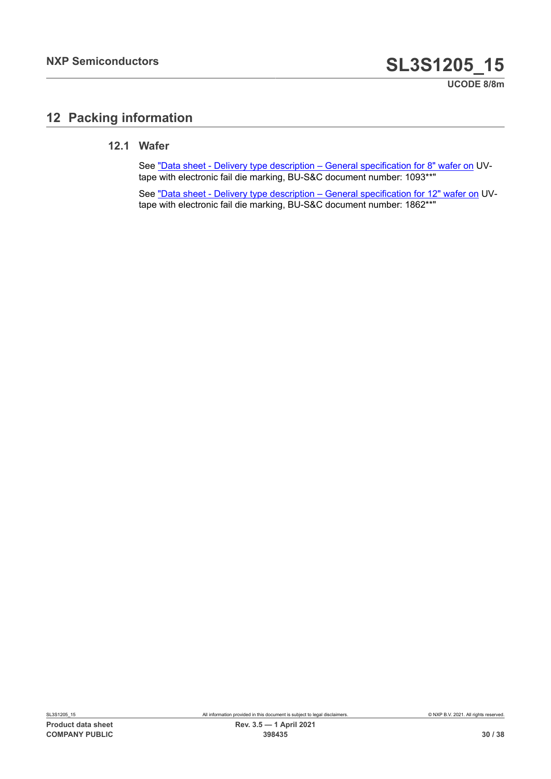## <span id="page-29-0"></span>**12 Packing information**

#### **12.1 Wafer**

<span id="page-29-1"></span>See ["Data sheet - Delivery type description – General specification for 8" wafer on](#page-31-0) UVtape with electronic fail die marking, BU-S&C document number: 1093\*\*"

See ["Data sheet - Delivery type description – General specification for 12" wafer on](#page-31-1) UVtape with electronic fail die marking, BU-S&C document number: 1862\*\*"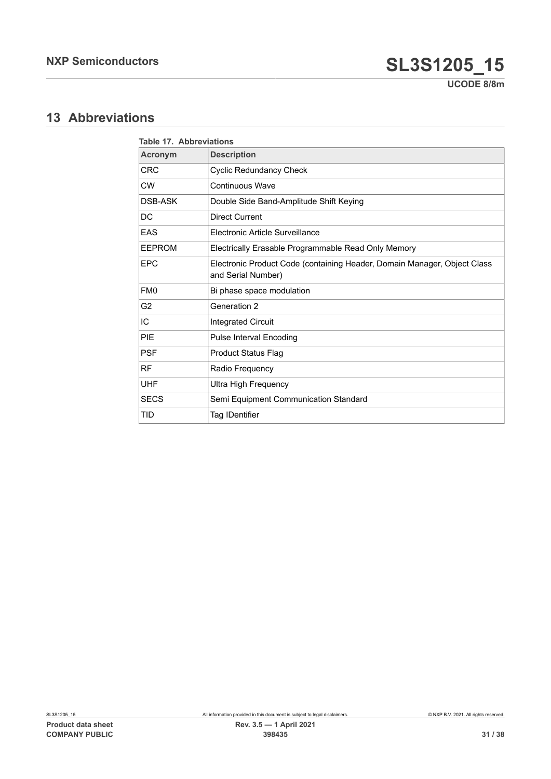## <span id="page-30-1"></span>**13 Abbreviations**

<span id="page-30-0"></span>

| <b>Acronym</b>  | <b>Description</b>                                                                             |
|-----------------|------------------------------------------------------------------------------------------------|
| <b>CRC</b>      | <b>Cyclic Redundancy Check</b>                                                                 |
| <b>CW</b>       | Continuous Wave                                                                                |
| DSB-ASK         | Double Side Band-Amplitude Shift Keying                                                        |
| DC              | <b>Direct Current</b>                                                                          |
| <b>FAS</b>      | Flectronic Article Surveillance                                                                |
| <b>EEPROM</b>   | Electrically Erasable Programmable Read Only Memory                                            |
| <b>EPC</b>      | Electronic Product Code (containing Header, Domain Manager, Object Class<br>and Serial Number) |
| FM <sub>0</sub> | Bi phase space modulation                                                                      |
| G <sub>2</sub>  | Generation 2                                                                                   |
| IC              | <b>Integrated Circuit</b>                                                                      |
| PIE             | <b>Pulse Interval Encoding</b>                                                                 |
| <b>PSF</b>      | <b>Product Status Flag</b>                                                                     |
| <b>RF</b>       | Radio Frequency                                                                                |
| <b>UHF</b>      | Ultra High Frequency                                                                           |
| <b>SECS</b>     | Semi Equipment Communication Standard                                                          |
| TID             | Tag IDentifier                                                                                 |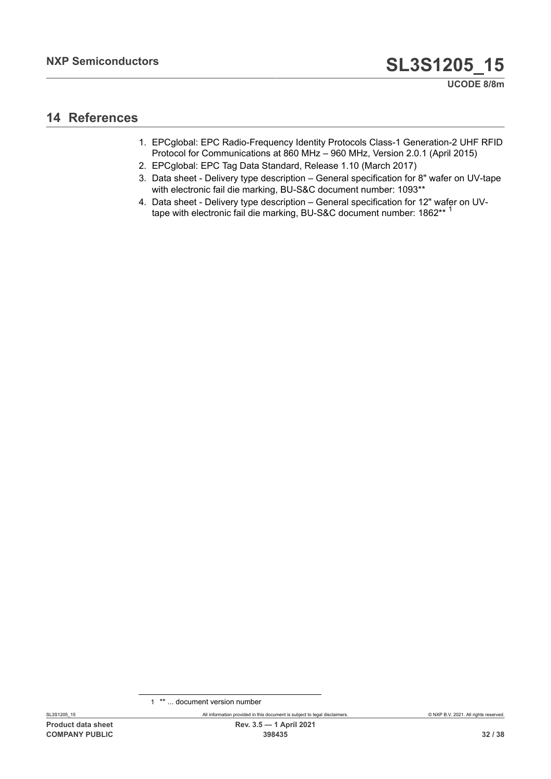## <span id="page-31-4"></span>**14 References**

- <span id="page-31-2"></span>1. EPCglobal: EPC Radio-Frequency Identity Protocols Class-1 Generation-2 UHF RFID Protocol for Communications at 860 MHz – 960 MHz, Version 2.0.1 (April 2015)
- <span id="page-31-3"></span>2. EPCglobal: EPC Tag Data Standard, Release 1.10 (March 2017)
- <span id="page-31-0"></span>3. Data sheet - Delivery type description – General specification for 8" wafer on UV-tape with electronic fail die marking, BU-S&C document number: 1093\*\*
- <span id="page-31-1"></span>4. Data sheet - Delivery type description – General specification for 12" wafer on UVtape with electronic fail die marking, BU-S&C document number: 1862\*\*<sup>1</sup>

<sup>1</sup> \*\* ... document version number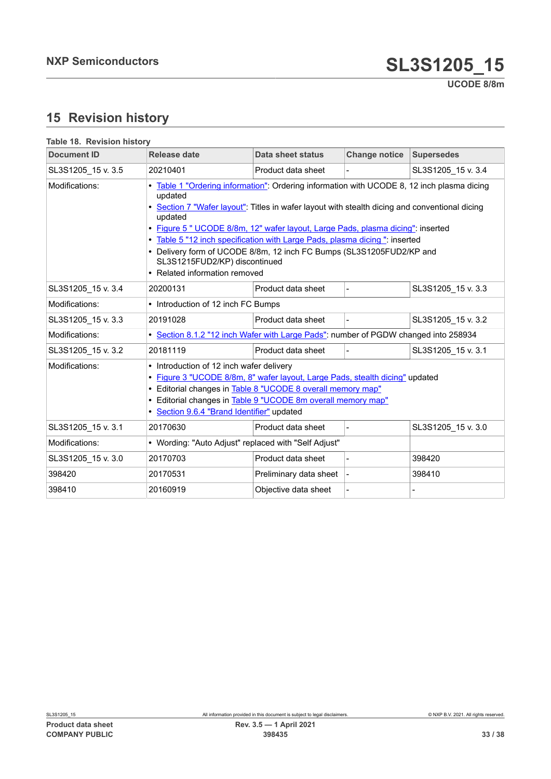## <span id="page-32-1"></span>**15 Revision history**

<span id="page-32-0"></span>

| Table 18. Revision history |                                                                                                                                                                                                                                                                                                                                                                                                                                                                                                                                |                        |                          |                    |  |  |
|----------------------------|--------------------------------------------------------------------------------------------------------------------------------------------------------------------------------------------------------------------------------------------------------------------------------------------------------------------------------------------------------------------------------------------------------------------------------------------------------------------------------------------------------------------------------|------------------------|--------------------------|--------------------|--|--|
| <b>Document ID</b>         | Release date                                                                                                                                                                                                                                                                                                                                                                                                                                                                                                                   | Data sheet status      | <b>Change notice</b>     | <b>Supersedes</b>  |  |  |
| SL3S1205 15 v. 3.5         | 20210401                                                                                                                                                                                                                                                                                                                                                                                                                                                                                                                       | Product data sheet     |                          | SL3S1205 15 v. 3.4 |  |  |
| Modifications:             | • Table 1 "Ordering information": Ordering information with UCODE 8, 12 inch plasma dicing<br>updated<br>• Section 7 "Wafer layout": Titles in wafer layout with stealth dicing and conventional dicing<br>updated<br>• Figure 5 " UCODE 8/8m, 12" wafer layout, Large Pads, plasma dicing": inserted<br>• Table 5 "12 inch specification with Large Pads, plasma dicing ": inserted<br>• Delivery form of UCODE 8/8m, 12 inch FC Bumps (SL3S1205FUD2/KP and<br>SL3S1215FUD2/KP) discontinued<br>• Related information removed |                        |                          |                    |  |  |
| SL3S1205 15 v. 3.4         | 20200131                                                                                                                                                                                                                                                                                                                                                                                                                                                                                                                       | Product data sheet     |                          | SL3S1205 15 v. 3.3 |  |  |
| Modifications:             | • Introduction of 12 inch FC Bumps                                                                                                                                                                                                                                                                                                                                                                                                                                                                                             |                        |                          |                    |  |  |
| SL3S1205 15 v. 3.3         | 20191028                                                                                                                                                                                                                                                                                                                                                                                                                                                                                                                       | Product data sheet     |                          | SL3S1205_15 v. 3.2 |  |  |
| Modifications:             | • Section 8.1.2 "12 inch Wafer with Large Pads": number of PGDW changed into 258934                                                                                                                                                                                                                                                                                                                                                                                                                                            |                        |                          |                    |  |  |
| SL3S1205 15 v. 3.2         | 20181119                                                                                                                                                                                                                                                                                                                                                                                                                                                                                                                       | Product data sheet     |                          | SL3S1205 15 v. 3.1 |  |  |
| Modifications:             | • Introduction of 12 inch wafer delivery<br>· Figure 3 "UCODE 8/8m, 8" wafer layout, Large Pads, stealth dicing" updated<br>• Editorial changes in Table 8 "UCODE 8 overall memory map"<br>• Editorial changes in Table 9 "UCODE 8m overall memory map"<br>· Section 9.6.4 "Brand Identifier" updated                                                                                                                                                                                                                          |                        |                          |                    |  |  |
| SL3S1205 15 v. 3.1         | 20170630                                                                                                                                                                                                                                                                                                                                                                                                                                                                                                                       | Product data sheet     |                          | SL3S1205_15 v. 3.0 |  |  |
| Modifications:             | • Wording: "Auto Adjust" replaced with "Self Adjust"                                                                                                                                                                                                                                                                                                                                                                                                                                                                           |                        |                          |                    |  |  |
| SL3S1205_15 v. 3.0         | 20170703                                                                                                                                                                                                                                                                                                                                                                                                                                                                                                                       | Product data sheet     | $\overline{a}$           | 398420             |  |  |
| 398420                     | 20170531                                                                                                                                                                                                                                                                                                                                                                                                                                                                                                                       | Preliminary data sheet | $\overline{\phantom{0}}$ | 398410             |  |  |
| 398410                     | 20160919                                                                                                                                                                                                                                                                                                                                                                                                                                                                                                                       | Objective data sheet   |                          |                    |  |  |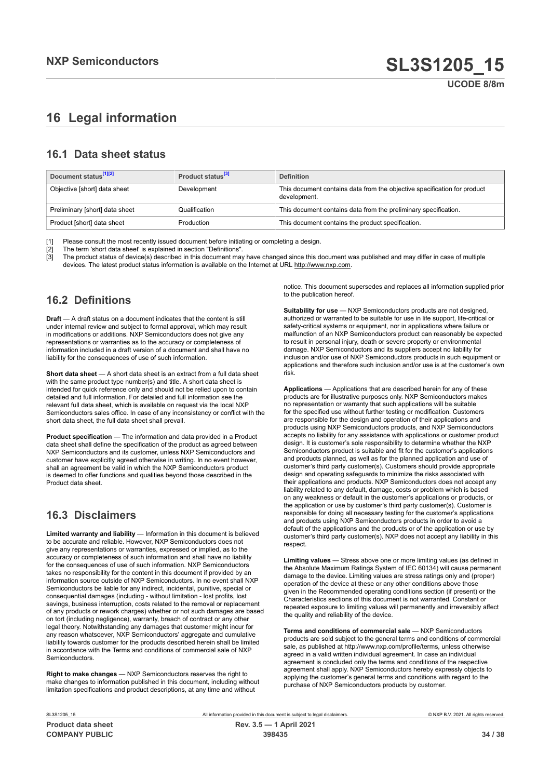## <span id="page-33-0"></span>**16 Legal information**

### **16.1 Data sheet status**

| Document status <sup>[1][2]</sup> | Product status <sup>[3]</sup> | <b>Definition</b>                                                                        |
|-----------------------------------|-------------------------------|------------------------------------------------------------------------------------------|
| Objective [short] data sheet      | Development                   | This document contains data from the objective specification for product<br>development. |
| Preliminary [short] data sheet    | Qualification                 | This document contains data from the preliminary specification.                          |
| Product [short] data sheet        | Production                    | This document contains the product specification.                                        |

[1] Please consult the most recently issued document before initiating or completing a design.<br>[2] The term 'short data sheet' is explained in section "Definitions".

t :<br>[2] The term 'short data sheet' is explained in section "Definitions".<br>[3] The product status of device(s) described in this document may

The product status of device(s) described in this document may have changed since this document was published and may differ in case of multiple devices. The latest product status information is available on the Internet at URL http://www.nxp.com.

### **16.2 Definitions**

**Draft** — A draft status on a document indicates that the content is still under internal review and subject to formal approval, which may result in modifications or additions. NXP Semiconductors does not give any representations or warranties as to the accuracy or completeness of information included in a draft version of a document and shall have no liability for the consequences of use of such information.

**Short data sheet** — A short data sheet is an extract from a full data sheet with the same product type number(s) and title. A short data sheet is intended for quick reference only and should not be relied upon to contain detailed and full information. For detailed and full information see the relevant full data sheet, which is available on request via the local NXP Semiconductors sales office. In case of any inconsistency or conflict with the short data sheet, the full data sheet shall prevail.

**Product specification** — The information and data provided in a Product data sheet shall define the specification of the product as agreed between NXP Semiconductors and its customer, unless NXP Semiconductors and customer have explicitly agreed otherwise in writing. In no event however, shall an agreement be valid in which the NXP Semiconductors product is deemed to offer functions and qualities beyond those described in the Product data sheet.

### **16.3 Disclaimers**

**Limited warranty and liability** — Information in this document is believed to be accurate and reliable. However, NXP Semiconductors does not give any representations or warranties, expressed or implied, as to the accuracy or completeness of such information and shall have no liability for the consequences of use of such information. NXP Semiconductors takes no responsibility for the content in this document if provided by an information source outside of NXP Semiconductors. In no event shall NXP Semiconductors be liable for any indirect, incidental, punitive, special or consequential damages (including - without limitation - lost profits, lost savings, business interruption, costs related to the removal or replacement of any products or rework charges) whether or not such damages are based on tort (including negligence), warranty, breach of contract or any other legal theory. Notwithstanding any damages that customer might incur for any reason whatsoever, NXP Semiconductors' aggregate and cumulative liability towards customer for the products described herein shall be limited in accordance with the Terms and conditions of commercial sale of NXP **Semiconductors** 

**Right to make changes** — NXP Semiconductors reserves the right to make changes to information published in this document, including without limitation specifications and product descriptions, at any time and without

notice. This document supersedes and replaces all information supplied prior to the publication hereof.

**Suitability for use** — NXP Semiconductors products are not designed, authorized or warranted to be suitable for use in life support, life-critical or safety-critical systems or equipment, nor in applications where failure or malfunction of an NXP Semiconductors product can reasonably be expected to result in personal injury, death or severe property or environmental damage. NXP Semiconductors and its suppliers accept no liability for inclusion and/or use of NXP Semiconductors products in such equipment or applications and therefore such inclusion and/or use is at the customer's own risk.

**Applications** — Applications that are described herein for any of these products are for illustrative purposes only. NXP Semiconductors makes no representation or warranty that such applications will be suitable for the specified use without further testing or modification. Customers are responsible for the design and operation of their applications and products using NXP Semiconductors products, and NXP Semiconductors accepts no liability for any assistance with applications or customer product design. It is customer's sole responsibility to determine whether the NXP Semiconductors product is suitable and fit for the customer's applications and products planned, as well as for the planned application and use of customer's third party customer(s). Customers should provide appropriate design and operating safeguards to minimize the risks associated with their applications and products. NXP Semiconductors does not accept any liability related to any default, damage, costs or problem which is based on any weakness or default in the customer's applications or products, or the application or use by customer's third party customer(s). Customer is responsible for doing all necessary testing for the customer's applications and products using NXP Semiconductors products in order to avoid a default of the applications and the products or of the application or use by customer's third party customer(s). NXP does not accept any liability in this respect.

**Limiting values** — Stress above one or more limiting values (as defined in the Absolute Maximum Ratings System of IEC 60134) will cause permanent damage to the device. Limiting values are stress ratings only and (proper) operation of the device at these or any other conditions above those given in the Recommended operating conditions section (if present) or the Characteristics sections of this document is not warranted. Constant or repeated exposure to limiting values will permanently and irreversibly affect the quality and reliability of the device.

**Terms and conditions of commercial sale** — NXP Semiconductors products are sold subject to the general terms and conditions of commercial sale, as published at http://www.nxp.com/profile/terms, unless otherwise agreed in a valid written individual agreement. In case an individual agreement is concluded only the terms and conditions of the respective agreement shall apply. NXP Semiconductors hereby expressly objects to applying the customer's general terms and conditions with regard to the purchase of NXP Semiconductors products by customer.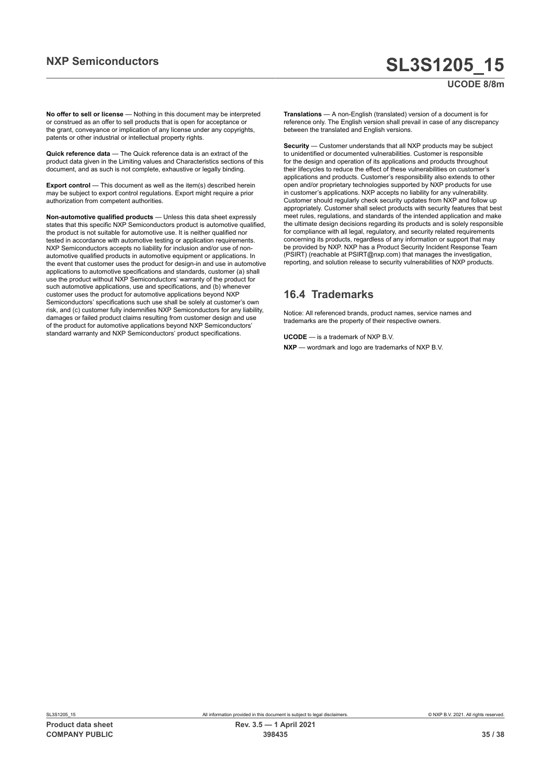#### **UCODE 8/8m**

**No offer to sell or license** — Nothing in this document may be interpreted or construed as an offer to sell products that is open for acceptance or the grant, conveyance or implication of any license under any copyrights, patents or other industrial or intellectual property rights.

**Quick reference data** — The Quick reference data is an extract of the product data given in the Limiting values and Characteristics sections of this document, and as such is not complete, exhaustive or legally binding.

**Export control** — This document as well as the item(s) described herein may be subject to export control regulations. Export might require a prior authorization from competent authorities.

**Non-automotive qualified products** — Unless this data sheet expressly states that this specific NXP Semiconductors product is automotive qualified, the product is not suitable for automotive use. It is neither qualified nor tested in accordance with automotive testing or application requirements. NXP Semiconductors accepts no liability for inclusion and/or use of nonautomotive qualified products in automotive equipment or applications. In the event that customer uses the product for design-in and use in automotive applications to automotive specifications and standards, customer (a) shall use the product without NXP Semiconductors' warranty of the product for such automotive applications, use and specifications, and (b) whenever customer uses the product for automotive applications beyond NXP Semiconductors' specifications such use shall be solely at customer's own risk, and (c) customer fully indemnifies NXP Semiconductors for any liability, damages or failed product claims resulting from customer design and use of the product for automotive applications beyond NXP Semiconductors' standard warranty and NXP Semiconductors' product specifications.

**Translations** — A non-English (translated) version of a document is for reference only. The English version shall prevail in case of any discrepancy between the translated and English versions.

**Security** — Customer understands that all NXP products may be subject to unidentified or documented vulnerabilities. Customer is responsible for the design and operation of its applications and products throughout their lifecycles to reduce the effect of these vulnerabilities on customer's applications and products. Customer's responsibility also extends to other open and/or proprietary technologies supported by NXP products for use in customer's applications. NXP accepts no liability for any vulnerability. Customer should regularly check security updates from NXP and follow up appropriately. Customer shall select products with security features that best meet rules, regulations, and standards of the intended application and make the ultimate design decisions regarding its products and is solely responsible for compliance with all legal, regulatory, and security related requirements concerning its products, regardless of any information or support that may be provided by NXP. NXP has a Product Security Incident Response Team (PSIRT) (reachable at PSIRT@nxp.com) that manages the investigation, reporting, and solution release to security vulnerabilities of NXP products.

#### **16.4 Trademarks**

Notice: All referenced brands, product names, service names and trademarks are the property of their respective owners.

**UCODE** — is a trademark of NXP B.V. **NXP** — wordmark and logo are trademarks of NXP B.V.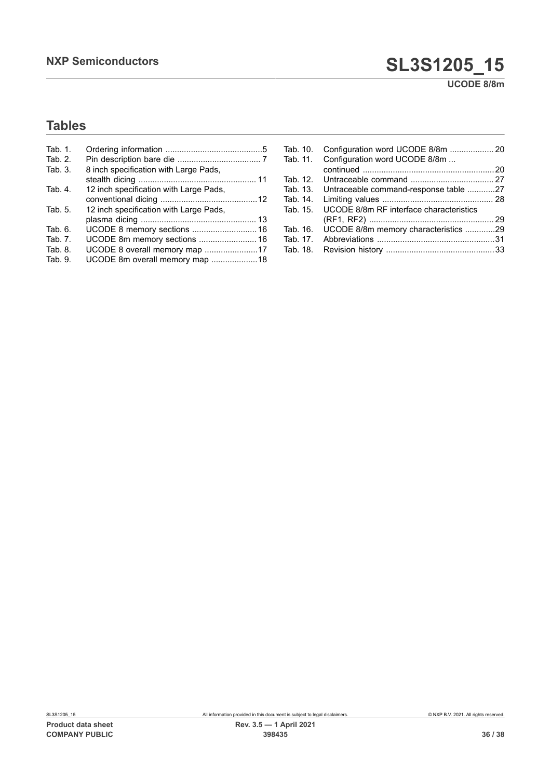**UCODE 8/8m**

## **Tables**

| Tab. 1. |                                        |  |
|---------|----------------------------------------|--|
| Tab. 2. |                                        |  |
| Tab. 3. | 8 inch specification with Large Pads,  |  |
|         |                                        |  |
| Tab. 4. | 12 inch specification with Large Pads, |  |
|         |                                        |  |
| Tab. 5. | 12 inch specification with Large Pads, |  |
|         |                                        |  |
| Tab. 6. | UCODE 8 memory sections  16            |  |
| Tab. 7. |                                        |  |
| Tab. 8. | UCODE 8 overall memory map 17          |  |
| Tab. 9. | UCODE 8m overall memory map 18         |  |

| Tab. 10.<br>Tab. 11. | Configuration word UCODE 8/8m  20<br>Configuration word UCODE 8/8m |  |
|----------------------|--------------------------------------------------------------------|--|
|                      |                                                                    |  |
| Tab. 12.             |                                                                    |  |
| Tab. 13.             | Untraceable command-response table 27                              |  |
| Tab. 14.             |                                                                    |  |
| Tab. 15.             | UCODE 8/8m RF interface characteristics                            |  |
|                      |                                                                    |  |
| Tab. 16.             | UCODE 8/8m memory characteristics 29                               |  |
| Tab. 17.             |                                                                    |  |
| Tab. 18.             |                                                                    |  |
|                      |                                                                    |  |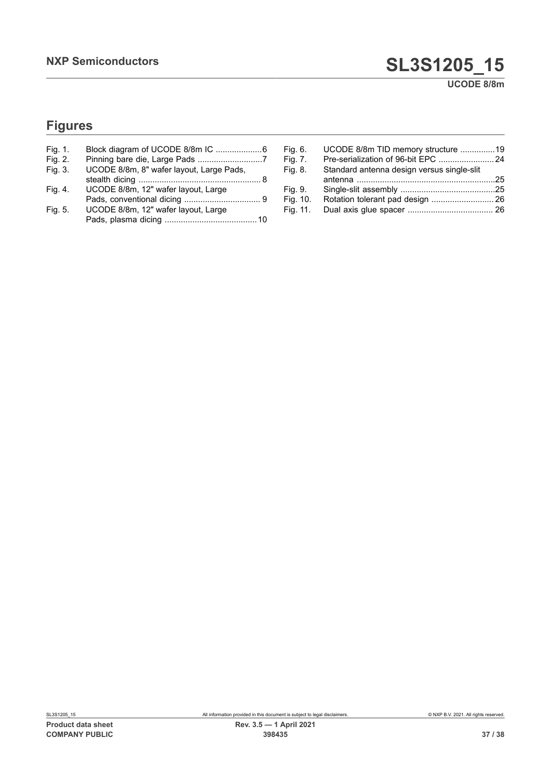## **Figures**

| Fig. 1. | Block diagram of UCODE 8/8m IC 6         |
|---------|------------------------------------------|
| Fig. 2. | Pinning bare die, Large Pads 7           |
| Fig. 3. | UCODE 8/8m, 8" wafer layout, Large Pads, |
|         |                                          |
| Fig. 4. | UCODE 8/8m, 12" wafer layout, Large      |
|         |                                          |
| Fig. 5. | UCODE 8/8m, 12" wafer layout, Large      |
|         |                                          |

| Fig. 6.<br>Fig. 7. | UCODE 8/8m TID memory structure 19<br>Pre-serialization of 96-bit EPC  24 |  |
|--------------------|---------------------------------------------------------------------------|--|
| Fig. 8.            | Standard antenna design versus single-slit                                |  |
|                    |                                                                           |  |
| Fig. 9.            |                                                                           |  |
| Fig. 10.           | Rotation tolerant pad design  26                                          |  |
| Fig. 11.           |                                                                           |  |